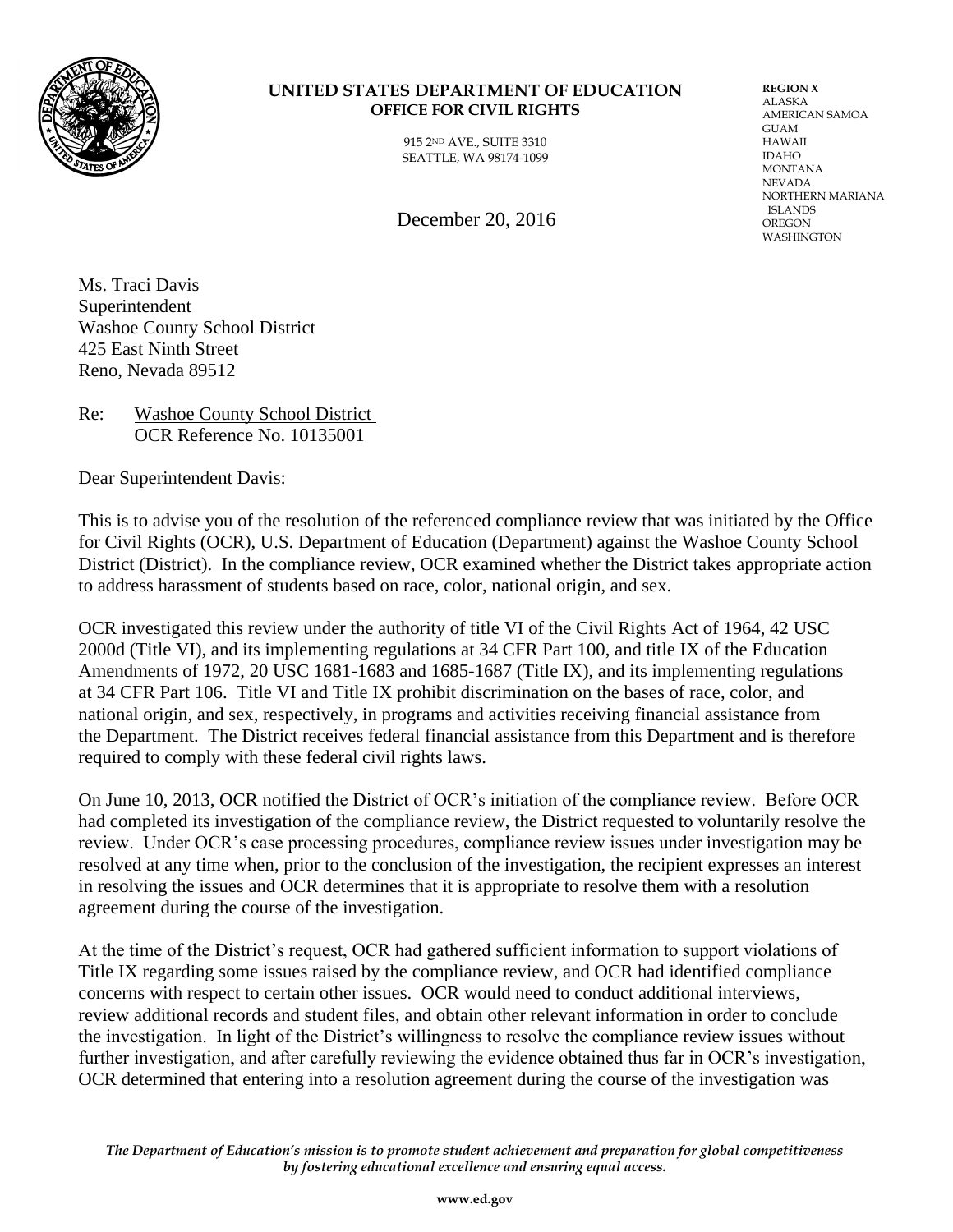

#### **UNITED STATES DEPARTMENT OF EDUCATION OFFICE FOR CIVIL RIGHTS**

915 2ND AVE., SUITE 3310 SEATTLE, WA 98174-1099 ALASKA AMERICAN SAMOA GUAM HAWAII IDAHO MONTANA NEVADA NORTHERN MARIANA ISLANDS **OREGON** WASHINGTON

**REGION X**

December 20, 2016

Ms. Traci Davis Superintendent Washoe County School District 425 East Ninth Street Reno, Nevada 89512

Re: Washoe County School District OCR Reference No. 10135001

Dear Superintendent Davis:

This is to advise you of the resolution of the referenced compliance review that was initiated by the Office for Civil Rights (OCR), U.S. Department of Education (Department) against the Washoe County School District (District). In the compliance review, OCR examined whether the District takes appropriate action to address harassment of students based on race, color, national origin, and sex.

OCR investigated this review under the authority of title VI of the Civil Rights Act of 1964, 42 USC 2000d (Title VI), and its implementing regulations at 34 CFR Part 100, and title IX of the Education Amendments of 1972, 20 USC 1681-1683 and 1685-1687 (Title IX), and its implementing regulations at 34 CFR Part 106. Title VI and Title IX prohibit discrimination on the bases of race, color, and national origin, and sex, respectively, in programs and activities receiving financial assistance from the Department. The District receives federal financial assistance from this Department and is therefore required to comply with these federal civil rights laws.

On June 10, 2013, OCR notified the District of OCR's initiation of the compliance review. Before OCR had completed its investigation of the compliance review, the District requested to voluntarily resolve the review. Under OCR's case processing procedures, compliance review issues under investigation may be resolved at any time when, prior to the conclusion of the investigation, the recipient expresses an interest in resolving the issues and OCR determines that it is appropriate to resolve them with a resolution agreement during the course of the investigation.

At the time of the District's request, OCR had gathered sufficient information to support violations of Title IX regarding some issues raised by the compliance review, and OCR had identified compliance concerns with respect to certain other issues. OCR would need to conduct additional interviews, review additional records and student files, and obtain other relevant information in order to conclude the investigation. In light of the District's willingness to resolve the compliance review issues without further investigation, and after carefully reviewing the evidence obtained thus far in OCR's investigation, OCR determined that entering into a resolution agreement during the course of the investigation was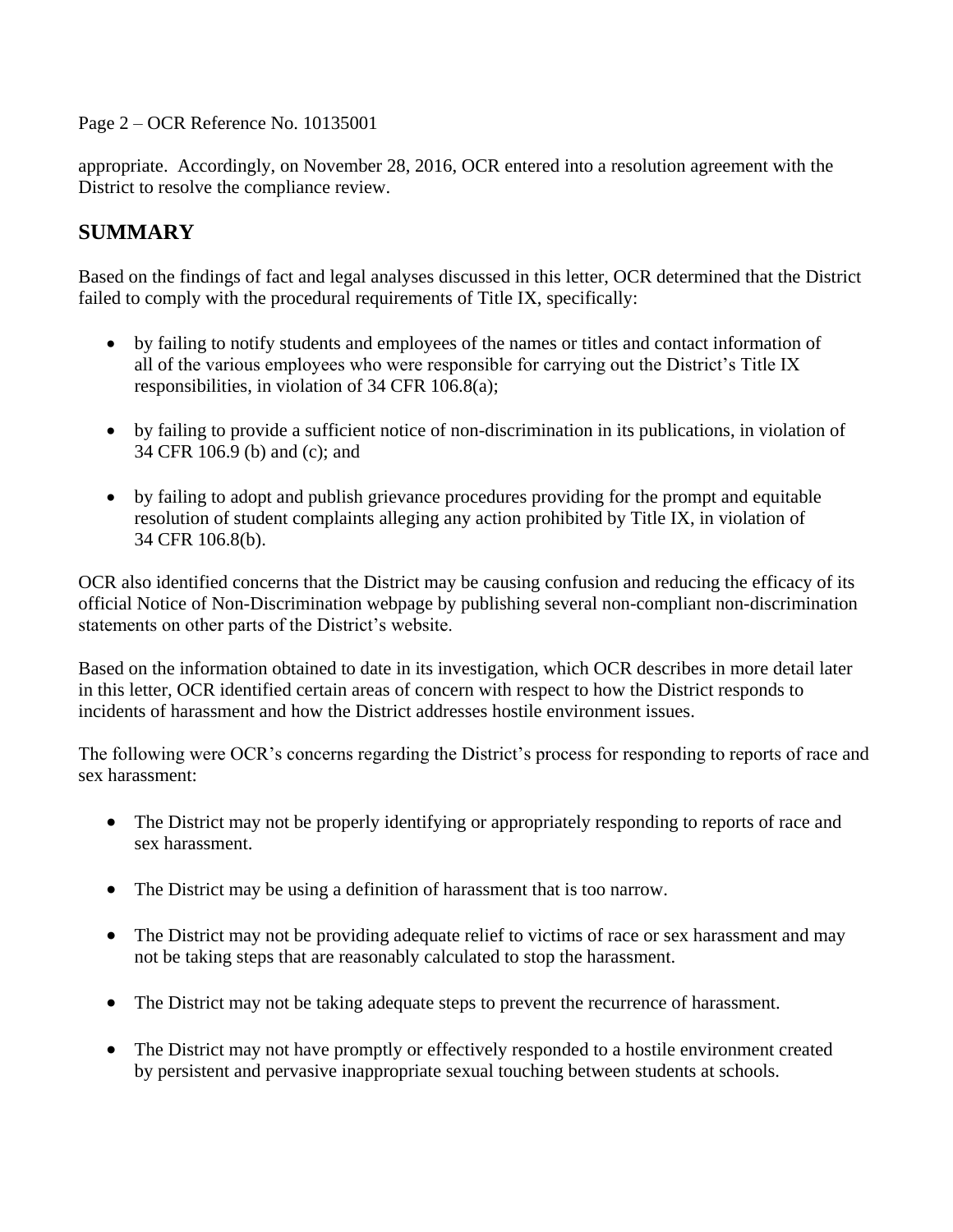Page 2 – OCR Reference No. 10135001

appropriate. Accordingly, on November 28, 2016, OCR entered into a resolution agreement with the District to resolve the compliance review.

### **SUMMARY**

Based on the findings of fact and legal analyses discussed in this letter, OCR determined that the District failed to comply with the procedural requirements of Title IX, specifically:

- by failing to notify students and employees of the names or titles and contact information of all of the various employees who were responsible for carrying out the District's Title IX responsibilities, in violation of 34 CFR 106.8(a);
- by failing to provide a sufficient notice of non-discrimination in its publications, in violation of 34 CFR 106.9 (b) and (c); and
- by failing to adopt and publish grievance procedures providing for the prompt and equitable resolution of student complaints alleging any action prohibited by Title IX, in violation of 34 CFR 106.8(b).

OCR also identified concerns that the District may be causing confusion and reducing the efficacy of its official Notice of Non-Discrimination webpage by publishing several non-compliant non-discrimination statements on other parts of the District's website.

Based on the information obtained to date in its investigation, which OCR describes in more detail later in this letter, OCR identified certain areas of concern with respect to how the District responds to incidents of harassment and how the District addresses hostile environment issues.

The following were OCR's concerns regarding the District's process for responding to reports of race and sex harassment:

- The District may not be properly identifying or appropriately responding to reports of race and sex harassment.
- The District may be using a definition of harassment that is too narrow.
- The District may not be providing adequate relief to victims of race or sex harassment and may not be taking steps that are reasonably calculated to stop the harassment.
- The District may not be taking adequate steps to prevent the recurrence of harassment.
- The District may not have promptly or effectively responded to a hostile environment created by persistent and pervasive inappropriate sexual touching between students at schools.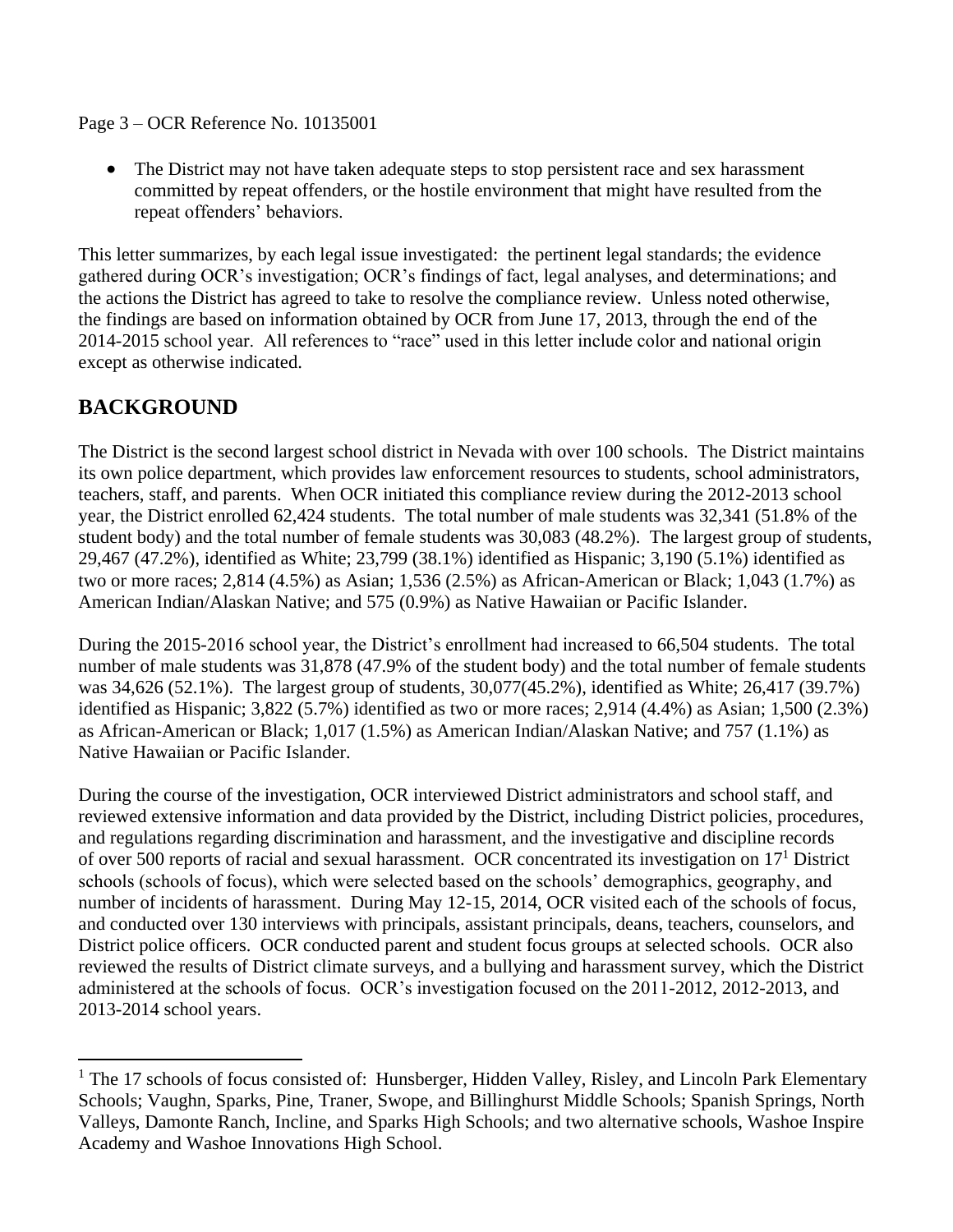Page 3 – OCR Reference No. 10135001

• The District may not have taken adequate steps to stop persistent race and sex harassment committed by repeat offenders, or the hostile environment that might have resulted from the repeat offenders' behaviors.

This letter summarizes, by each legal issue investigated: the pertinent legal standards; the evidence gathered during OCR's investigation; OCR's findings of fact, legal analyses, and determinations; and the actions the District has agreed to take to resolve the compliance review. Unless noted otherwise, the findings are based on information obtained by OCR from June 17, 2013, through the end of the 2014-2015 school year. All references to "race" used in this letter include color and national origin except as otherwise indicated.

### **BACKGROUND**

 $\overline{a}$ 

The District is the second largest school district in Nevada with over 100 schools. The District maintains its own police department, which provides law enforcement resources to students, school administrators, teachers, staff, and parents. When OCR initiated this compliance review during the 2012-2013 school year, the District enrolled 62,424 students. The total number of male students was 32,341 (51.8% of the student body) and the total number of female students was 30,083 (48.2%). The largest group of students, 29,467 (47.2%), identified as White; 23,799 (38.1%) identified as Hispanic; 3,190 (5.1%) identified as two or more races; 2,814 (4.5%) as Asian; 1,536 (2.5%) as African-American or Black; 1,043 (1.7%) as American Indian/Alaskan Native; and 575 (0.9%) as Native Hawaiian or Pacific Islander.

During the 2015-2016 school year, the District's enrollment had increased to 66,504 students. The total number of male students was 31,878 (47.9% of the student body) and the total number of female students was 34,626 (52.1%). The largest group of students, 30,077(45.2%), identified as White; 26,417 (39.7%) identified as Hispanic; 3,822 (5.7%) identified as two or more races; 2,914 (4.4%) as Asian; 1,500 (2.3%) as African-American or Black; 1,017 (1.5%) as American Indian/Alaskan Native; and 757 (1.1%) as Native Hawaiian or Pacific Islander.

During the course of the investigation, OCR interviewed District administrators and school staff, and reviewed extensive information and data provided by the District, including District policies, procedures, and regulations regarding discrimination and harassment, and the investigative and discipline records of over 500 reports of racial and sexual harassment. OCR concentrated its investigation on 17<sup>1</sup> District schools (schools of focus), which were selected based on the schools' demographics, geography, and number of incidents of harassment. During May 12-15, 2014, OCR visited each of the schools of focus, and conducted over 130 interviews with principals, assistant principals, deans, teachers, counselors, and District police officers. OCR conducted parent and student focus groups at selected schools. OCR also reviewed the results of District climate surveys, and a bullying and harassment survey, which the District administered at the schools of focus. OCR's investigation focused on the 2011-2012, 2012-2013, and 2013-2014 school years.

<sup>&</sup>lt;sup>1</sup> The 17 schools of focus consisted of: Hunsberger, Hidden Valley, Risley, and Lincoln Park Elementary Schools; Vaughn, Sparks, Pine, Traner, Swope, and Billinghurst Middle Schools; Spanish Springs, North Valleys, Damonte Ranch, Incline, and Sparks High Schools; and two alternative schools, Washoe Inspire Academy and Washoe Innovations High School.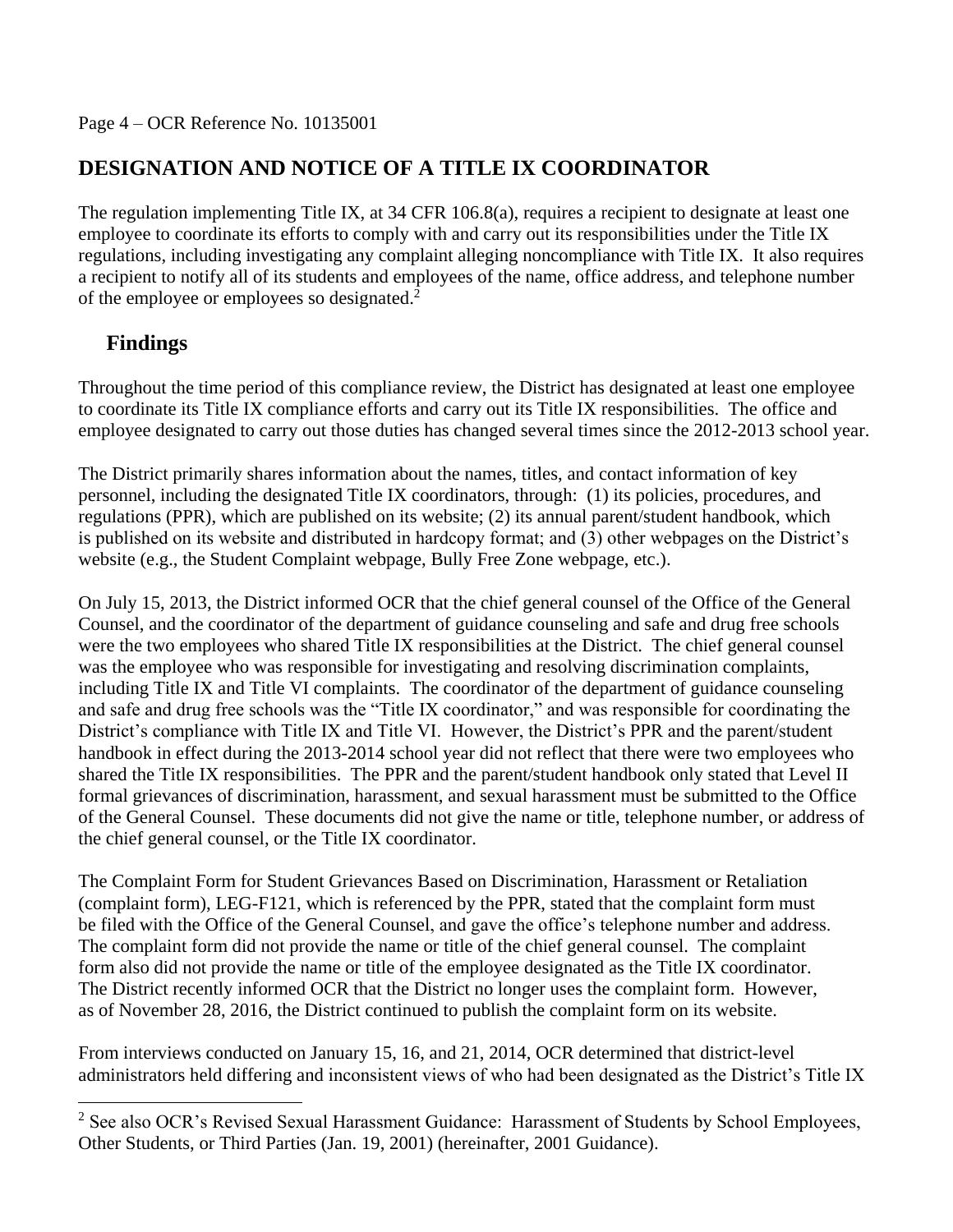# **DESIGNATION AND NOTICE OF A TITLE IX COORDINATOR**

The regulation implementing Title IX, at 34 CFR 106.8(a), requires a recipient to designate at least one employee to coordinate its efforts to comply with and carry out its responsibilities under the Title IX regulations, including investigating any complaint alleging noncompliance with Title IX. It also requires a recipient to notify all of its students and employees of the name, office address, and telephone number of the employee or employees so designated.<sup>2</sup>

# **Findings**

 $\overline{a}$ 

Throughout the time period of this compliance review, the District has designated at least one employee to coordinate its Title IX compliance efforts and carry out its Title IX responsibilities. The office and employee designated to carry out those duties has changed several times since the 2012-2013 school year.

The District primarily shares information about the names, titles, and contact information of key personnel, including the designated Title IX coordinators, through: (1) its policies, procedures, and regulations (PPR), which are published on its website; (2) its annual parent/student handbook, which is published on its website and distributed in hardcopy format; and (3) other webpages on the District's website (e.g., the Student Complaint webpage, Bully Free Zone webpage, etc.).

On July 15, 2013, the District informed OCR that the chief general counsel of the Office of the General Counsel, and the coordinator of the department of guidance counseling and safe and drug free schools were the two employees who shared Title IX responsibilities at the District. The chief general counsel was the employee who was responsible for investigating and resolving discrimination complaints, including Title IX and Title VI complaints. The coordinator of the department of guidance counseling and safe and drug free schools was the "Title IX coordinator," and was responsible for coordinating the District's compliance with Title IX and Title VI. However, the District's PPR and the parent/student handbook in effect during the 2013-2014 school year did not reflect that there were two employees who shared the Title IX responsibilities. The PPR and the parent/student handbook only stated that Level II formal grievances of discrimination, harassment, and sexual harassment must be submitted to the Office of the General Counsel. These documents did not give the name or title, telephone number, or address of the chief general counsel, or the Title IX coordinator.

The Complaint Form for Student Grievances Based on Discrimination, Harassment or Retaliation (complaint form), LEG-F121, which is referenced by the PPR, stated that the complaint form must be filed with the Office of the General Counsel, and gave the office's telephone number and address. The complaint form did not provide the name or title of the chief general counsel. The complaint form also did not provide the name or title of the employee designated as the Title IX coordinator. The District recently informed OCR that the District no longer uses the complaint form. However, as of November 28, 2016, the District continued to publish the complaint form on its website.

From interviews conducted on January 15, 16, and 21, 2014, OCR determined that district-level administrators held differing and inconsistent views of who had been designated as the District's Title IX

<sup>&</sup>lt;sup>2</sup> See also OCR's Revised Sexual Harassment Guidance: Harassment of Students by School Employees, Other Students, or Third Parties (Jan. 19, 2001) (hereinafter, 2001 Guidance).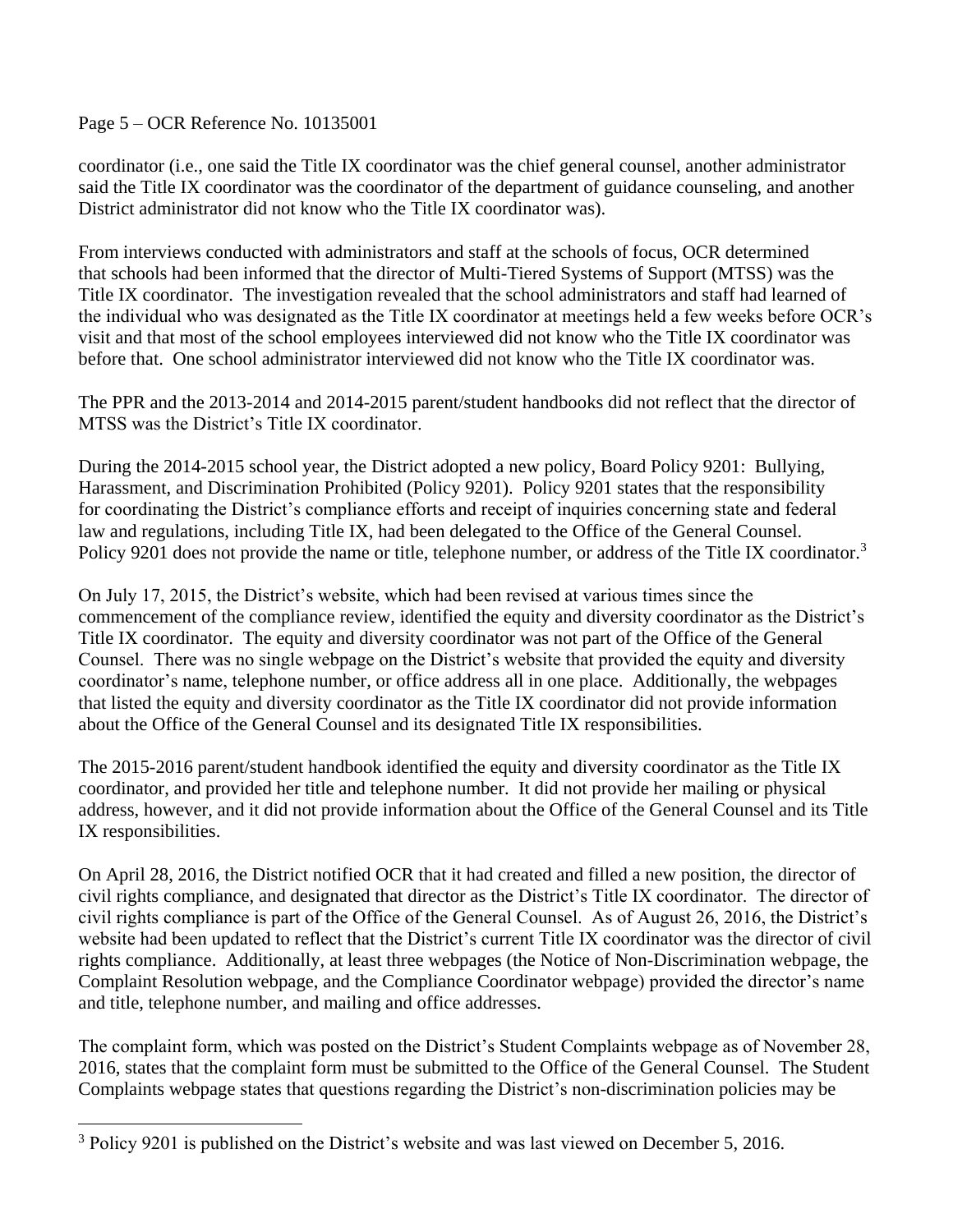Page 5 – OCR Reference No. 10135001

 $\overline{a}$ 

coordinator (i.e., one said the Title IX coordinator was the chief general counsel, another administrator said the Title IX coordinator was the coordinator of the department of guidance counseling, and another District administrator did not know who the Title IX coordinator was).

From interviews conducted with administrators and staff at the schools of focus, OCR determined that schools had been informed that the director of Multi-Tiered Systems of Support (MTSS) was the Title IX coordinator. The investigation revealed that the school administrators and staff had learned of the individual who was designated as the Title IX coordinator at meetings held a few weeks before OCR's visit and that most of the school employees interviewed did not know who the Title IX coordinator was before that. One school administrator interviewed did not know who the Title IX coordinator was.

The PPR and the 2013-2014 and 2014-2015 parent/student handbooks did not reflect that the director of MTSS was the District's Title IX coordinator.

During the 2014-2015 school year, the District adopted a new policy, Board Policy 9201: Bullying, Harassment, and Discrimination Prohibited (Policy 9201). Policy 9201 states that the responsibility for coordinating the District's compliance efforts and receipt of inquiries concerning state and federal law and regulations, including Title IX, had been delegated to the Office of the General Counsel. Policy 9201 does not provide the name or title, telephone number, or address of the Title IX coordinator.<sup>3</sup>

On July 17, 2015, the District's website, which had been revised at various times since the commencement of the compliance review, identified the equity and diversity coordinator as the District's Title IX coordinator. The equity and diversity coordinator was not part of the Office of the General Counsel. There was no single webpage on the District's website that provided the equity and diversity coordinator's name, telephone number, or office address all in one place. Additionally, the webpages that listed the equity and diversity coordinator as the Title IX coordinator did not provide information about the Office of the General Counsel and its designated Title IX responsibilities.

The 2015-2016 parent/student handbook identified the equity and diversity coordinator as the Title IX coordinator, and provided her title and telephone number. It did not provide her mailing or physical address, however, and it did not provide information about the Office of the General Counsel and its Title IX responsibilities.

On April 28, 2016, the District notified OCR that it had created and filled a new position, the director of civil rights compliance, and designated that director as the District's Title IX coordinator. The director of civil rights compliance is part of the Office of the General Counsel. As of August 26, 2016, the District's website had been updated to reflect that the District's current Title IX coordinator was the director of civil rights compliance. Additionally, at least three webpages (the Notice of Non-Discrimination webpage, the Complaint Resolution webpage, and the Compliance Coordinator webpage) provided the director's name and title, telephone number, and mailing and office addresses.

The complaint form, which was posted on the District's Student Complaints webpage as of November 28, 2016, states that the complaint form must be submitted to the Office of the General Counsel. The Student Complaints webpage states that questions regarding the District's non-discrimination policies may be

<sup>&</sup>lt;sup>3</sup> Policy 9201 is published on the District's website and was last viewed on December 5, 2016.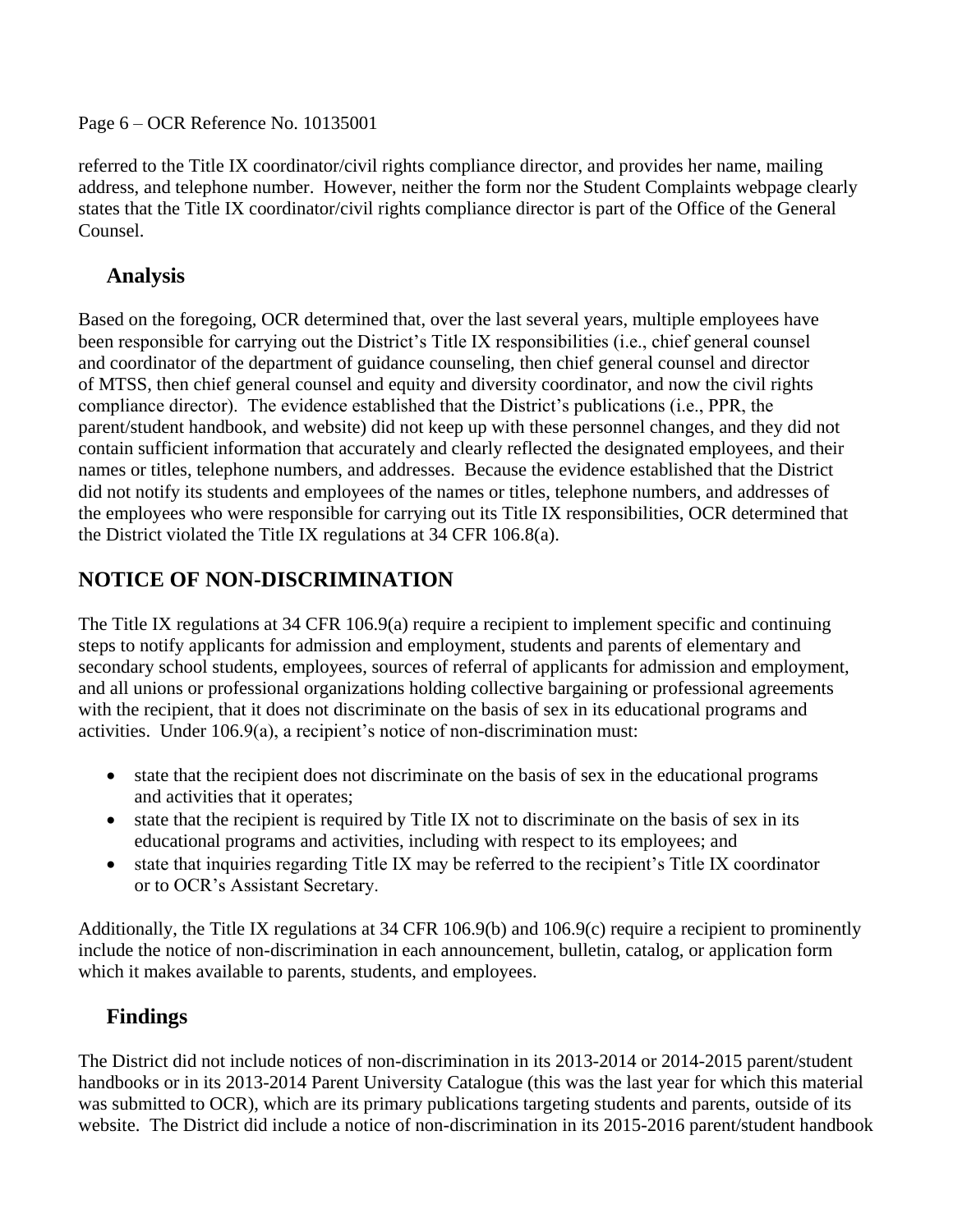Page 6 – OCR Reference No. 10135001

referred to the Title IX coordinator/civil rights compliance director, and provides her name, mailing address, and telephone number. However, neither the form nor the Student Complaints webpage clearly states that the Title IX coordinator/civil rights compliance director is part of the Office of the General Counsel.

### **Analysis**

Based on the foregoing, OCR determined that, over the last several years, multiple employees have been responsible for carrying out the District's Title IX responsibilities (i.e., chief general counsel and coordinator of the department of guidance counseling, then chief general counsel and director of MTSS, then chief general counsel and equity and diversity coordinator, and now the civil rights compliance director). The evidence established that the District's publications (i.e., PPR, the parent/student handbook, and website) did not keep up with these personnel changes, and they did not contain sufficient information that accurately and clearly reflected the designated employees, and their names or titles, telephone numbers, and addresses. Because the evidence established that the District did not notify its students and employees of the names or titles, telephone numbers, and addresses of the employees who were responsible for carrying out its Title IX responsibilities, OCR determined that the District violated the Title IX regulations at 34 CFR 106.8(a).

# **NOTICE OF NON-DISCRIMINATION**

The Title IX regulations at 34 CFR 106.9(a) require a recipient to implement specific and continuing steps to notify applicants for admission and employment, students and parents of elementary and secondary school students, employees, sources of referral of applicants for admission and employment, and all unions or professional organizations holding collective bargaining or professional agreements with the recipient, that it does not discriminate on the basis of sex in its educational programs and activities. Under 106.9(a), a recipient's notice of non-discrimination must:

- state that the recipient does not discriminate on the basis of sex in the educational programs and activities that it operates;
- state that the recipient is required by Title IX not to discriminate on the basis of sex in its educational programs and activities, including with respect to its employees; and
- state that inquiries regarding Title IX may be referred to the recipient's Title IX coordinator or to OCR's Assistant Secretary.

Additionally, the Title IX regulations at 34 CFR 106.9(b) and 106.9(c) require a recipient to prominently include the notice of non-discrimination in each announcement, bulletin, catalog, or application form which it makes available to parents, students, and employees.

# **Findings**

The District did not include notices of non-discrimination in its 2013-2014 or 2014-2015 parent/student handbooks or in its 2013-2014 Parent University Catalogue (this was the last year for which this material was submitted to OCR), which are its primary publications targeting students and parents, outside of its website. The District did include a notice of non-discrimination in its 2015-2016 parent/student handbook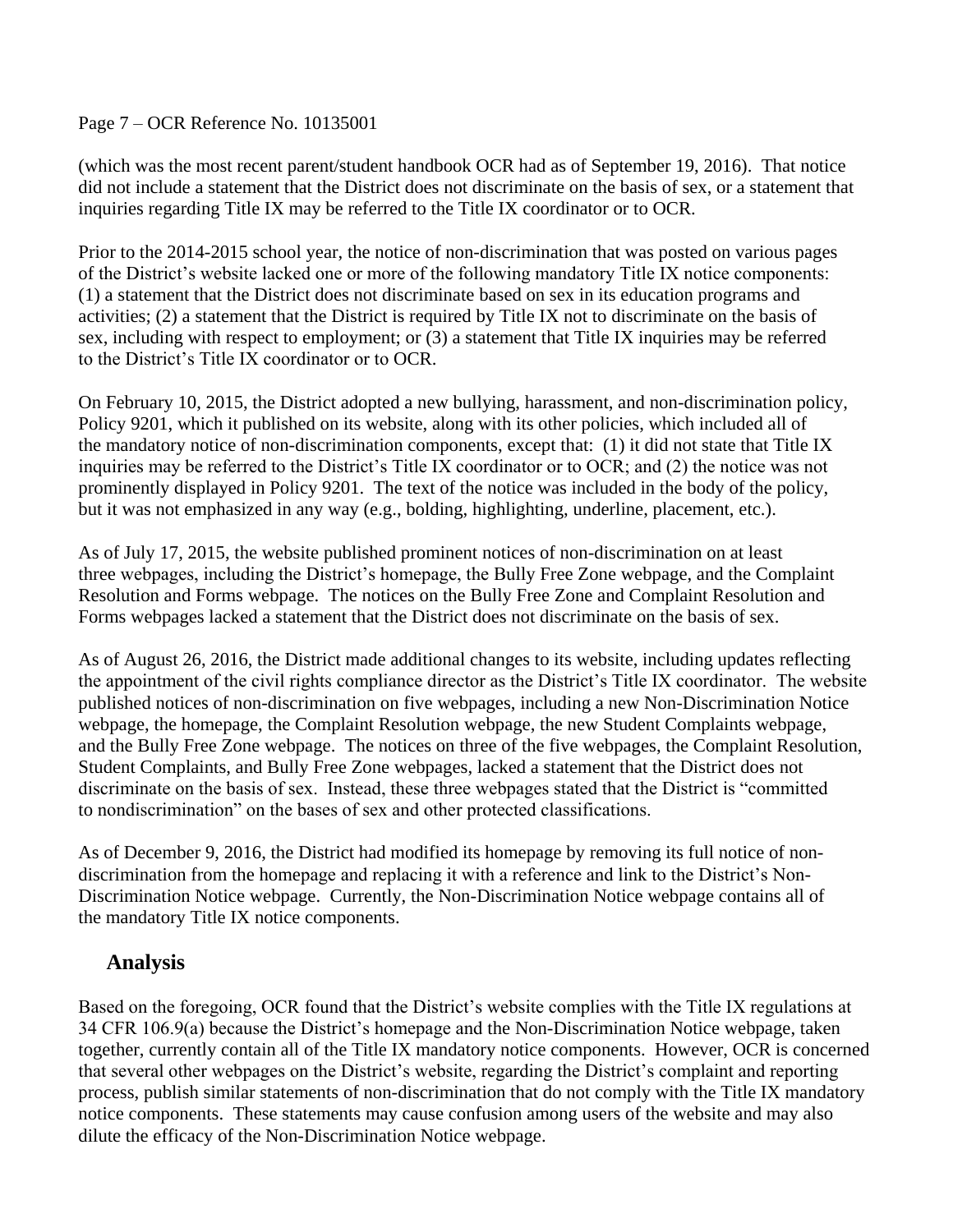Page 7 – OCR Reference No. 10135001

(which was the most recent parent/student handbook OCR had as of September 19, 2016). That notice did not include a statement that the District does not discriminate on the basis of sex, or a statement that inquiries regarding Title IX may be referred to the Title IX coordinator or to OCR.

Prior to the 2014-2015 school year, the notice of non-discrimination that was posted on various pages of the District's website lacked one or more of the following mandatory Title IX notice components: (1) a statement that the District does not discriminate based on sex in its education programs and activities; (2) a statement that the District is required by Title IX not to discriminate on the basis of sex, including with respect to employment; or (3) a statement that Title IX inquiries may be referred to the District's Title IX coordinator or to OCR.

On February 10, 2015, the District adopted a new bullying, harassment, and non-discrimination policy, Policy 9201, which it published on its website, along with its other policies, which included all of the mandatory notice of non-discrimination components, except that: (1) it did not state that Title IX inquiries may be referred to the District's Title IX coordinator or to OCR; and (2) the notice was not prominently displayed in Policy 9201. The text of the notice was included in the body of the policy, but it was not emphasized in any way (e.g., bolding, highlighting, underline, placement, etc.).

As of July 17, 2015, the website published prominent notices of non-discrimination on at least three webpages, including the District's homepage, the Bully Free Zone webpage, and the Complaint Resolution and Forms webpage. The notices on the Bully Free Zone and Complaint Resolution and Forms webpages lacked a statement that the District does not discriminate on the basis of sex.

As of August 26, 2016, the District made additional changes to its website, including updates reflecting the appointment of the civil rights compliance director as the District's Title IX coordinator. The website published notices of non-discrimination on five webpages, including a new Non-Discrimination Notice webpage, the homepage, the Complaint Resolution webpage, the new Student Complaints webpage, and the Bully Free Zone webpage. The notices on three of the five webpages, the Complaint Resolution, Student Complaints, and Bully Free Zone webpages, lacked a statement that the District does not discriminate on the basis of sex. Instead, these three webpages stated that the District is "committed to nondiscrimination" on the bases of sex and other protected classifications.

As of December 9, 2016, the District had modified its homepage by removing its full notice of nondiscrimination from the homepage and replacing it with a reference and link to the District's Non-Discrimination Notice webpage. Currently, the Non-Discrimination Notice webpage contains all of the mandatory Title IX notice components.

### **Analysis**

Based on the foregoing, OCR found that the District's website complies with the Title IX regulations at 34 CFR 106.9(a) because the District's homepage and the Non-Discrimination Notice webpage, taken together, currently contain all of the Title IX mandatory notice components. However, OCR is concerned that several other webpages on the District's website, regarding the District's complaint and reporting process, publish similar statements of non-discrimination that do not comply with the Title IX mandatory notice components. These statements may cause confusion among users of the website and may also dilute the efficacy of the Non-Discrimination Notice webpage.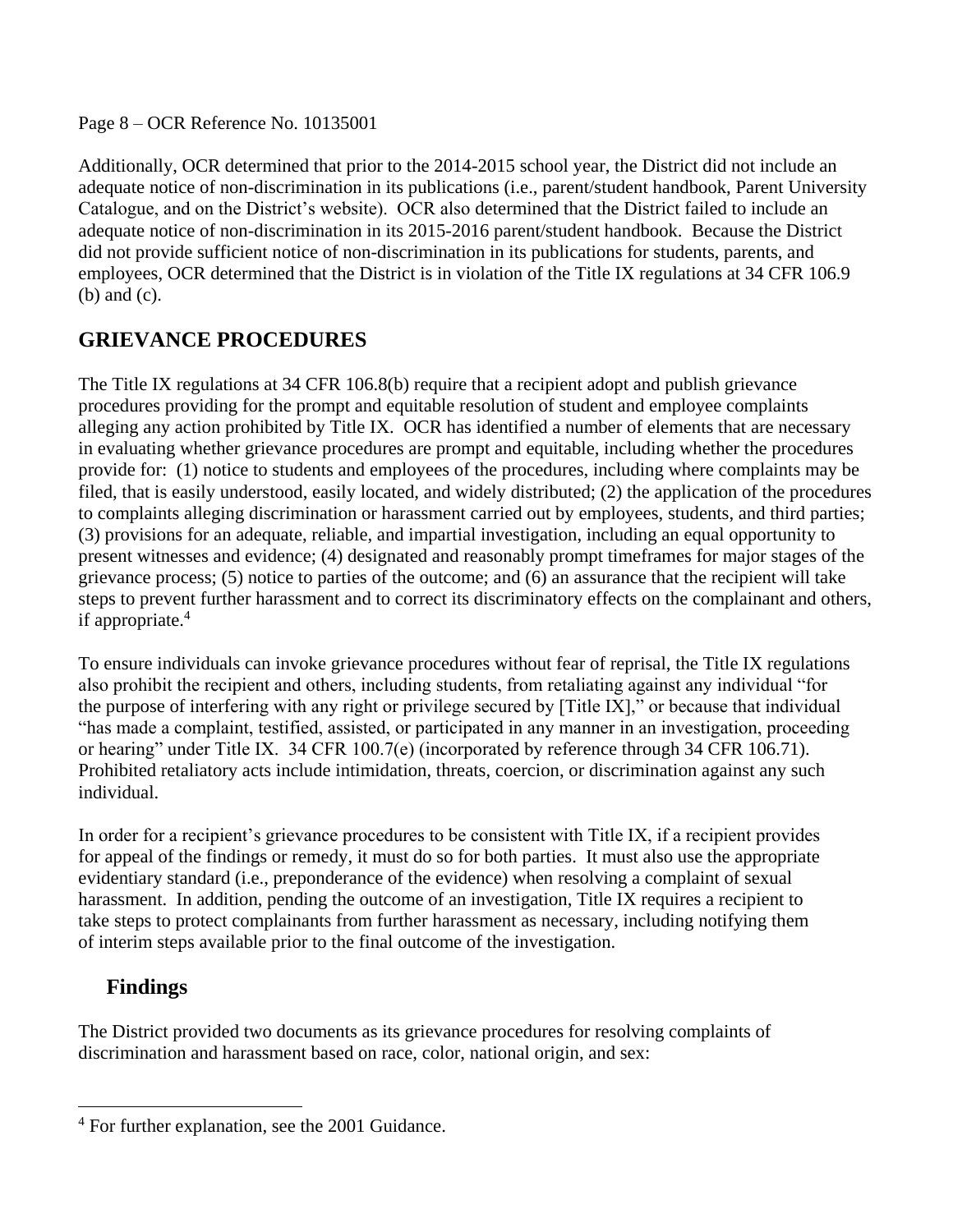#### Page 8 – OCR Reference No. 10135001

Additionally, OCR determined that prior to the 2014-2015 school year, the District did not include an adequate notice of non-discrimination in its publications (i.e., parent/student handbook, Parent University Catalogue, and on the District's website). OCR also determined that the District failed to include an adequate notice of non-discrimination in its 2015-2016 parent/student handbook. Because the District did not provide sufficient notice of non-discrimination in its publications for students, parents, and employees, OCR determined that the District is in violation of the Title IX regulations at 34 CFR 106.9 (b) and (c).

### **GRIEVANCE PROCEDURES**

The Title IX regulations at 34 CFR 106.8(b) require that a recipient adopt and publish grievance procedures providing for the prompt and equitable resolution of student and employee complaints alleging any action prohibited by Title IX. OCR has identified a number of elements that are necessary in evaluating whether grievance procedures are prompt and equitable, including whether the procedures provide for: (1) notice to students and employees of the procedures, including where complaints may be filed, that is easily understood, easily located, and widely distributed; (2) the application of the procedures to complaints alleging discrimination or harassment carried out by employees, students, and third parties; (3) provisions for an adequate, reliable, and impartial investigation, including an equal opportunity to present witnesses and evidence; (4) designated and reasonably prompt timeframes for major stages of the grievance process; (5) notice to parties of the outcome; and (6) an assurance that the recipient will take steps to prevent further harassment and to correct its discriminatory effects on the complainant and others, if appropriate.<sup>4</sup>

To ensure individuals can invoke grievance procedures without fear of reprisal, the Title IX regulations also prohibit the recipient and others, including students, from retaliating against any individual "for the purpose of interfering with any right or privilege secured by [Title IX]," or because that individual "has made a complaint, testified, assisted, or participated in any manner in an investigation, proceeding or hearing" under Title IX. 34 CFR 100.7(e) (incorporated by reference through 34 CFR 106.71). Prohibited retaliatory acts include intimidation, threats, coercion, or discrimination against any such individual.

In order for a recipient's grievance procedures to be consistent with Title IX, if a recipient provides for appeal of the findings or remedy, it must do so for both parties. It must also use the appropriate evidentiary standard (i.e., preponderance of the evidence) when resolving a complaint of sexual harassment. In addition, pending the outcome of an investigation, Title IX requires a recipient to take steps to protect complainants from further harassment as necessary, including notifying them of interim steps available prior to the final outcome of the investigation.

### **Findings**

 $\ddot{\phantom{a}}$ 

The District provided two documents as its grievance procedures for resolving complaints of discrimination and harassment based on race, color, national origin, and sex:

 $4$  For further explanation, see the 2001 Guidance.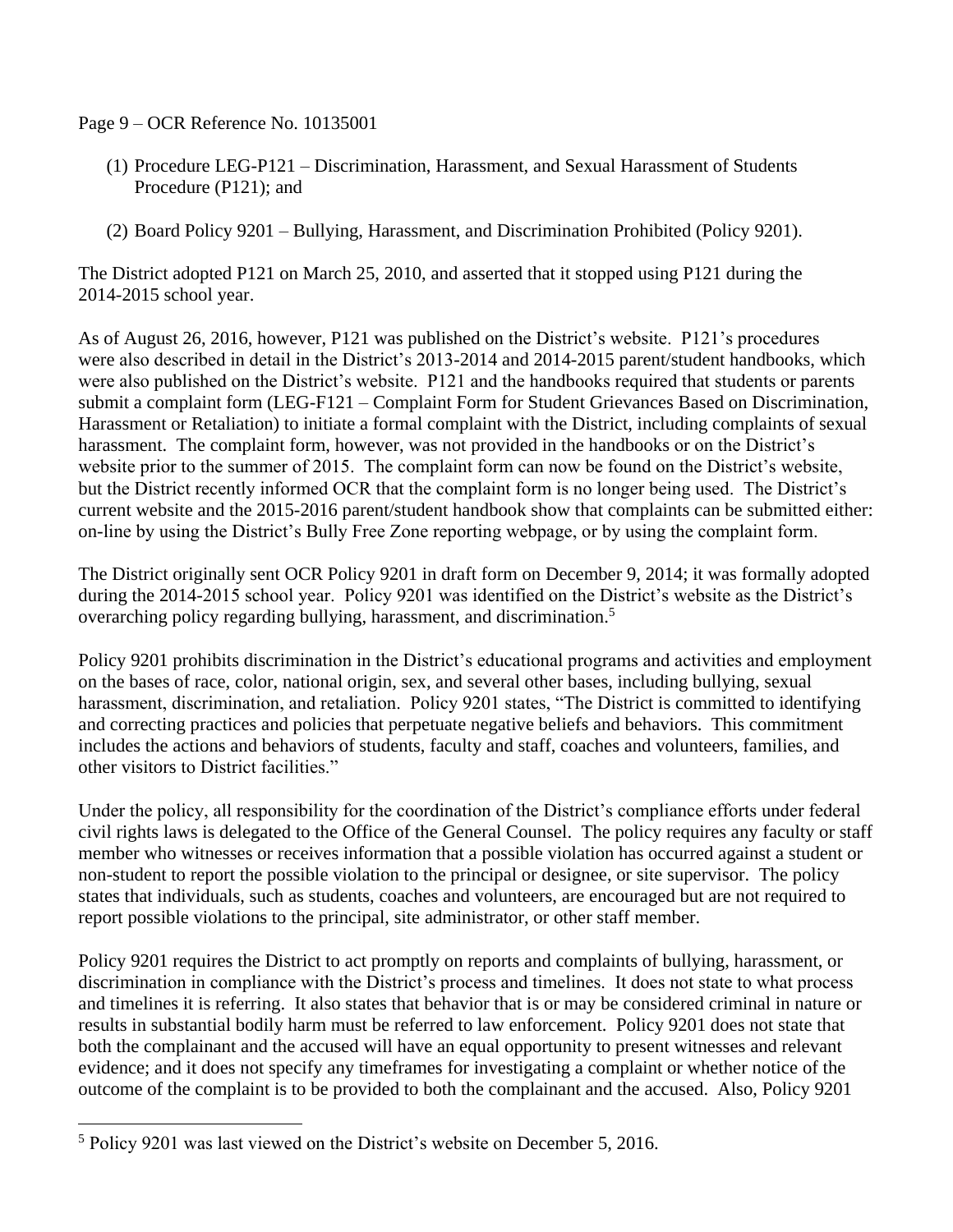Page 9 – OCR Reference No. 10135001

- (1) Procedure LEG-P121 Discrimination, Harassment, and Sexual Harassment of Students Procedure (P121); and
- (2) Board Policy 9201 Bullying, Harassment, and Discrimination Prohibited (Policy 9201).

The District adopted P121 on March 25, 2010, and asserted that it stopped using P121 during the 2014-2015 school year.

As of August 26, 2016, however, P121 was published on the District's website. P121's procedures were also described in detail in the District's 2013-2014 and 2014-2015 parent/student handbooks, which were also published on the District's website. P121 and the handbooks required that students or parents submit a complaint form (LEG-F121 – Complaint Form for Student Grievances Based on Discrimination, Harassment or Retaliation) to initiate a formal complaint with the District, including complaints of sexual harassment. The complaint form, however, was not provided in the handbooks or on the District's website prior to the summer of 2015. The complaint form can now be found on the District's website, but the District recently informed OCR that the complaint form is no longer being used. The District's current website and the 2015-2016 parent/student handbook show that complaints can be submitted either: on-line by using the District's Bully Free Zone reporting webpage, or by using the complaint form.

The District originally sent OCR Policy 9201 in draft form on December 9, 2014; it was formally adopted during the 2014-2015 school year. Policy 9201 was identified on the District's website as the District's overarching policy regarding bullying, harassment, and discrimination.<sup>5</sup>

Policy 9201 prohibits discrimination in the District's educational programs and activities and employment on the bases of race, color, national origin, sex, and several other bases, including bullying, sexual harassment, discrimination, and retaliation. Policy 9201 states, "The District is committed to identifying and correcting practices and policies that perpetuate negative beliefs and behaviors. This commitment includes the actions and behaviors of students, faculty and staff, coaches and volunteers, families, and other visitors to District facilities."

Under the policy, all responsibility for the coordination of the District's compliance efforts under federal civil rights laws is delegated to the Office of the General Counsel. The policy requires any faculty or staff member who witnesses or receives information that a possible violation has occurred against a student or non-student to report the possible violation to the principal or designee, or site supervisor. The policy states that individuals, such as students, coaches and volunteers, are encouraged but are not required to report possible violations to the principal, site administrator, or other staff member.

Policy 9201 requires the District to act promptly on reports and complaints of bullying, harassment, or discrimination in compliance with the District's process and timelines. It does not state to what process and timelines it is referring. It also states that behavior that is or may be considered criminal in nature or results in substantial bodily harm must be referred to law enforcement. Policy 9201 does not state that both the complainant and the accused will have an equal opportunity to present witnesses and relevant evidence; and it does not specify any timeframes for investigating a complaint or whether notice of the outcome of the complaint is to be provided to both the complainant and the accused. Also, Policy 9201

 $\overline{a}$ 

<sup>5</sup> Policy 9201 was last viewed on the District's website on December 5, 2016.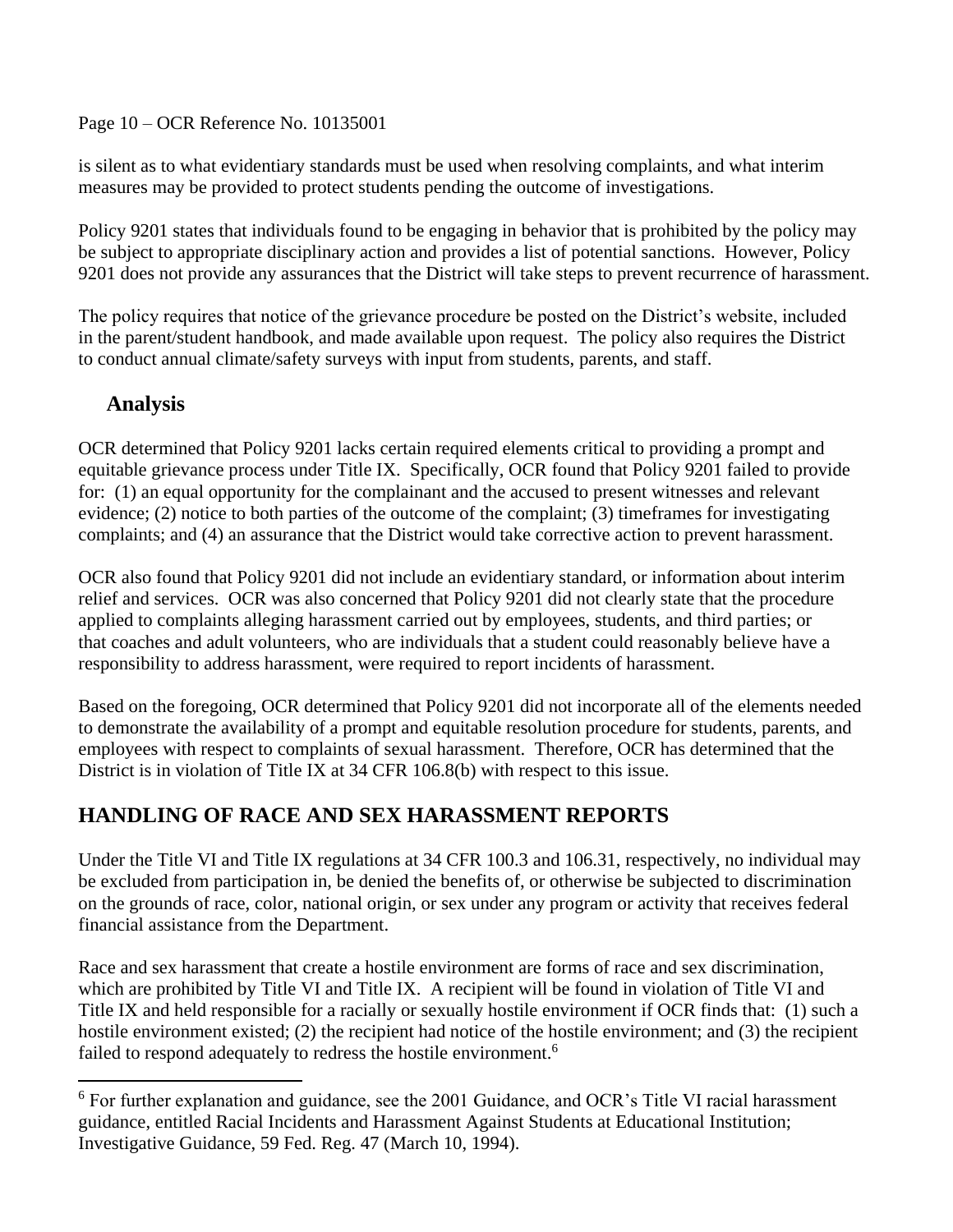Page 10 – OCR Reference No. 10135001

is silent as to what evidentiary standards must be used when resolving complaints, and what interim measures may be provided to protect students pending the outcome of investigations.

Policy 9201 states that individuals found to be engaging in behavior that is prohibited by the policy may be subject to appropriate disciplinary action and provides a list of potential sanctions. However, Policy 9201 does not provide any assurances that the District will take steps to prevent recurrence of harassment.

The policy requires that notice of the grievance procedure be posted on the District's website, included in the parent/student handbook, and made available upon request. The policy also requires the District to conduct annual climate/safety surveys with input from students, parents, and staff.

### **Analysis**

 $\overline{a}$ 

OCR determined that Policy 9201 lacks certain required elements critical to providing a prompt and equitable grievance process under Title IX. Specifically, OCR found that Policy 9201 failed to provide for: (1) an equal opportunity for the complainant and the accused to present witnesses and relevant evidence; (2) notice to both parties of the outcome of the complaint; (3) timeframes for investigating complaints; and (4) an assurance that the District would take corrective action to prevent harassment.

OCR also found that Policy 9201 did not include an evidentiary standard, or information about interim relief and services. OCR was also concerned that Policy 9201 did not clearly state that the procedure applied to complaints alleging harassment carried out by employees, students, and third parties; or that coaches and adult volunteers, who are individuals that a student could reasonably believe have a responsibility to address harassment, were required to report incidents of harassment.

Based on the foregoing, OCR determined that Policy 9201 did not incorporate all of the elements needed to demonstrate the availability of a prompt and equitable resolution procedure for students, parents, and employees with respect to complaints of sexual harassment. Therefore, OCR has determined that the District is in violation of Title IX at 34 CFR 106.8(b) with respect to this issue.

# **HANDLING OF RACE AND SEX HARASSMENT REPORTS**

Under the Title VI and Title IX regulations at 34 CFR 100.3 and 106.31, respectively, no individual may be excluded from participation in, be denied the benefits of, or otherwise be subjected to discrimination on the grounds of race, color, national origin, or sex under any program or activity that receives federal financial assistance from the Department.

Race and sex harassment that create a hostile environment are forms of race and sex discrimination, which are prohibited by Title VI and Title IX. A recipient will be found in violation of Title VI and Title IX and held responsible for a racially or sexually hostile environment if OCR finds that: (1) such a hostile environment existed; (2) the recipient had notice of the hostile environment; and (3) the recipient failed to respond adequately to redress the hostile environment.<sup>6</sup>

<sup>&</sup>lt;sup>6</sup> For further explanation and guidance, see the 2001 Guidance, and OCR's Title VI racial harassment guidance, entitled Racial Incidents and Harassment Against Students at Educational Institution; Investigative Guidance, 59 Fed. Reg. 47 (March 10, 1994).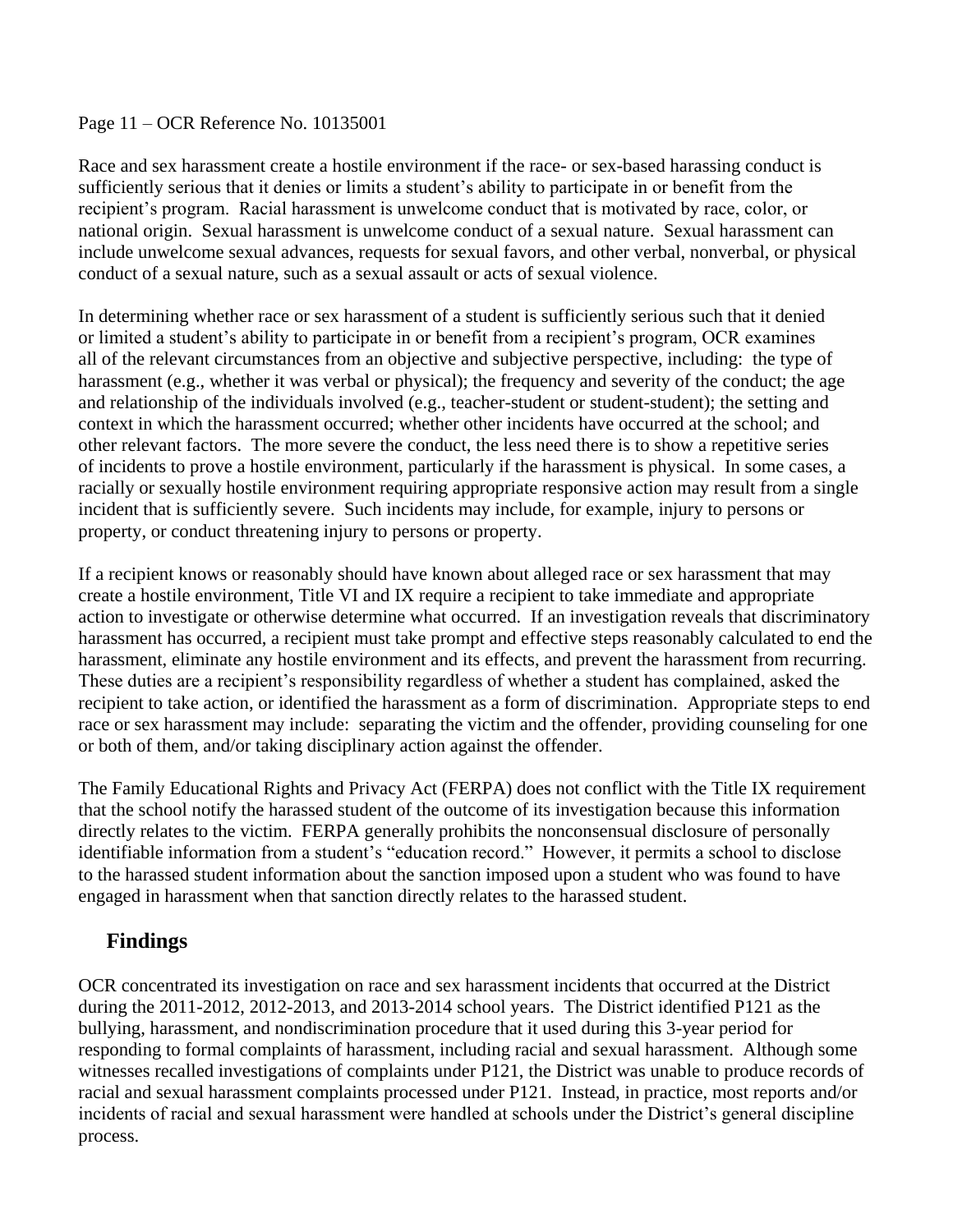#### Page 11 – OCR Reference No. 10135001

Race and sex harassment create a hostile environment if the race- or sex-based harassing conduct is sufficiently serious that it denies or limits a student's ability to participate in or benefit from the recipient's program. Racial harassment is unwelcome conduct that is motivated by race, color, or national origin. Sexual harassment is unwelcome conduct of a sexual nature. Sexual harassment can include unwelcome sexual advances, requests for sexual favors, and other verbal, nonverbal, or physical conduct of a sexual nature, such as a sexual assault or acts of sexual violence.

In determining whether race or sex harassment of a student is sufficiently serious such that it denied or limited a student's ability to participate in or benefit from a recipient's program, OCR examines all of the relevant circumstances from an objective and subjective perspective, including: the type of harassment (e.g., whether it was verbal or physical); the frequency and severity of the conduct; the age and relationship of the individuals involved (e.g., teacher-student or student-student); the setting and context in which the harassment occurred; whether other incidents have occurred at the school; and other relevant factors. The more severe the conduct, the less need there is to show a repetitive series of incidents to prove a hostile environment, particularly if the harassment is physical. In some cases, a racially or sexually hostile environment requiring appropriate responsive action may result from a single incident that is sufficiently severe. Such incidents may include, for example, injury to persons or property, or conduct threatening injury to persons or property.

If a recipient knows or reasonably should have known about alleged race or sex harassment that may create a hostile environment, Title VI and IX require a recipient to take immediate and appropriate action to investigate or otherwise determine what occurred. If an investigation reveals that discriminatory harassment has occurred, a recipient must take prompt and effective steps reasonably calculated to end the harassment, eliminate any hostile environment and its effects, and prevent the harassment from recurring. These duties are a recipient's responsibility regardless of whether a student has complained, asked the recipient to take action, or identified the harassment as a form of discrimination. Appropriate steps to end race or sex harassment may include: separating the victim and the offender, providing counseling for one or both of them, and/or taking disciplinary action against the offender.

The Family Educational Rights and Privacy Act (FERPA) does not conflict with the Title IX requirement that the school notify the harassed student of the outcome of its investigation because this information directly relates to the victim. FERPA generally prohibits the nonconsensual disclosure of personally identifiable information from a student's "education record." However, it permits a school to disclose to the harassed student information about the sanction imposed upon a student who was found to have engaged in harassment when that sanction directly relates to the harassed student.

### **Findings**

OCR concentrated its investigation on race and sex harassment incidents that occurred at the District during the 2011-2012, 2012-2013, and 2013-2014 school years. The District identified P121 as the bullying, harassment, and nondiscrimination procedure that it used during this 3-year period for responding to formal complaints of harassment, including racial and sexual harassment. Although some witnesses recalled investigations of complaints under P121, the District was unable to produce records of racial and sexual harassment complaints processed under P121. Instead, in practice, most reports and/or incidents of racial and sexual harassment were handled at schools under the District's general discipline process.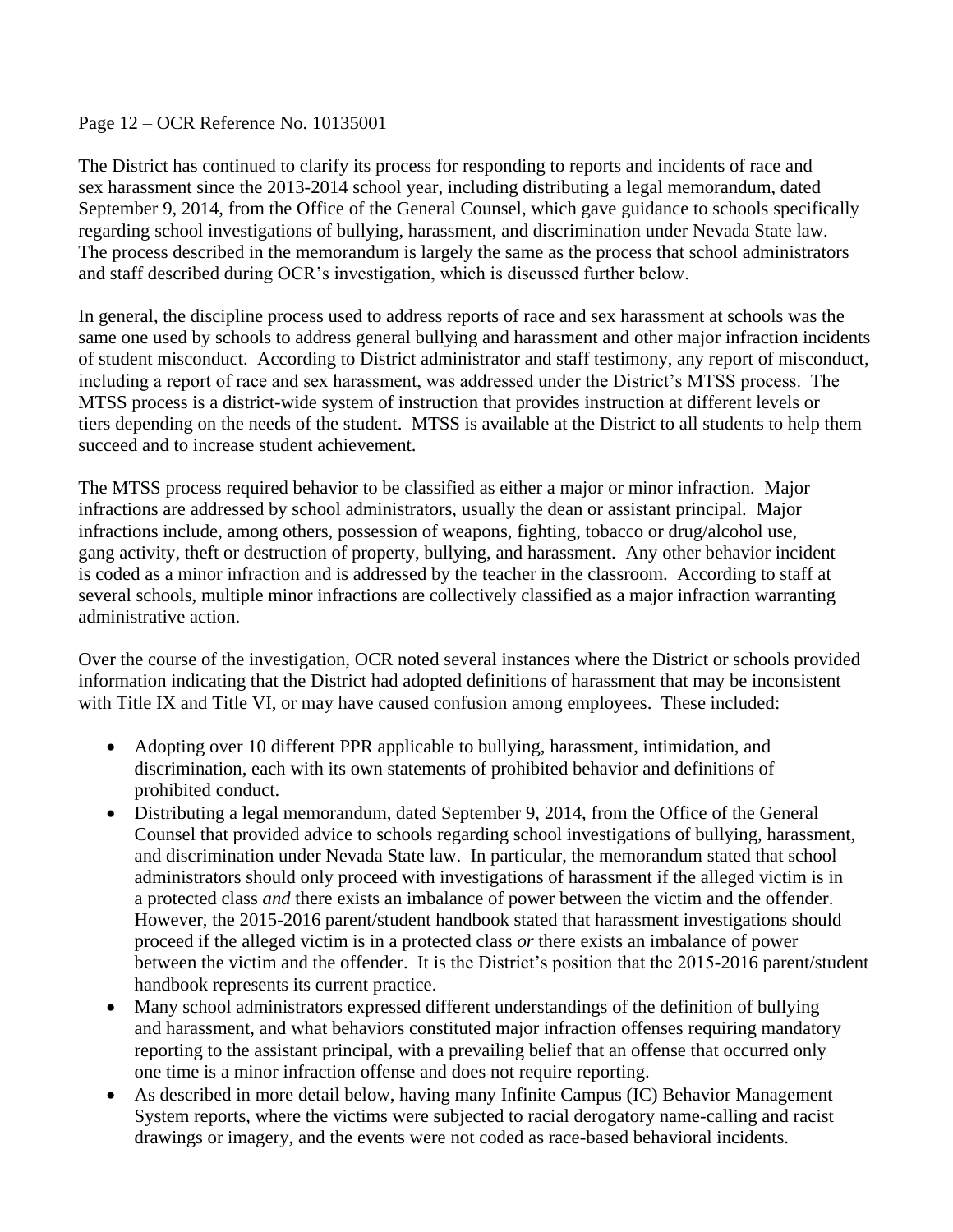#### Page 12 – OCR Reference No. 10135001

The District has continued to clarify its process for responding to reports and incidents of race and sex harassment since the 2013-2014 school year, including distributing a legal memorandum, dated September 9, 2014, from the Office of the General Counsel, which gave guidance to schools specifically regarding school investigations of bullying, harassment, and discrimination under Nevada State law. The process described in the memorandum is largely the same as the process that school administrators and staff described during OCR's investigation, which is discussed further below.

In general, the discipline process used to address reports of race and sex harassment at schools was the same one used by schools to address general bullying and harassment and other major infraction incidents of student misconduct. According to District administrator and staff testimony, any report of misconduct, including a report of race and sex harassment, was addressed under the District's MTSS process. The MTSS process is a district-wide system of instruction that provides instruction at different levels or tiers depending on the needs of the student. MTSS is available at the District to all students to help them succeed and to increase student achievement.

The MTSS process required behavior to be classified as either a major or minor infraction. Major infractions are addressed by school administrators, usually the dean or assistant principal. Major infractions include, among others, possession of weapons, fighting, tobacco or drug/alcohol use, gang activity, theft or destruction of property, bullying, and harassment. Any other behavior incident is coded as a minor infraction and is addressed by the teacher in the classroom. According to staff at several schools, multiple minor infractions are collectively classified as a major infraction warranting administrative action.

Over the course of the investigation, OCR noted several instances where the District or schools provided information indicating that the District had adopted definitions of harassment that may be inconsistent with Title IX and Title VI, or may have caused confusion among employees. These included:

- Adopting over 10 different PPR applicable to bullying, harassment, intimidation, and discrimination, each with its own statements of prohibited behavior and definitions of prohibited conduct.
- Distributing a legal memorandum, dated September 9, 2014, from the Office of the General Counsel that provided advice to schools regarding school investigations of bullying, harassment, and discrimination under Nevada State law. In particular, the memorandum stated that school administrators should only proceed with investigations of harassment if the alleged victim is in a protected class *and* there exists an imbalance of power between the victim and the offender. However, the 2015-2016 parent/student handbook stated that harassment investigations should proceed if the alleged victim is in a protected class *or* there exists an imbalance of power between the victim and the offender. It is the District's position that the 2015-2016 parent/student handbook represents its current practice.
- Many school administrators expressed different understandings of the definition of bullying and harassment, and what behaviors constituted major infraction offenses requiring mandatory reporting to the assistant principal, with a prevailing belief that an offense that occurred only one time is a minor infraction offense and does not require reporting.
- As described in more detail below, having many Infinite Campus (IC) Behavior Management System reports, where the victims were subjected to racial derogatory name-calling and racist drawings or imagery, and the events were not coded as race-based behavioral incidents.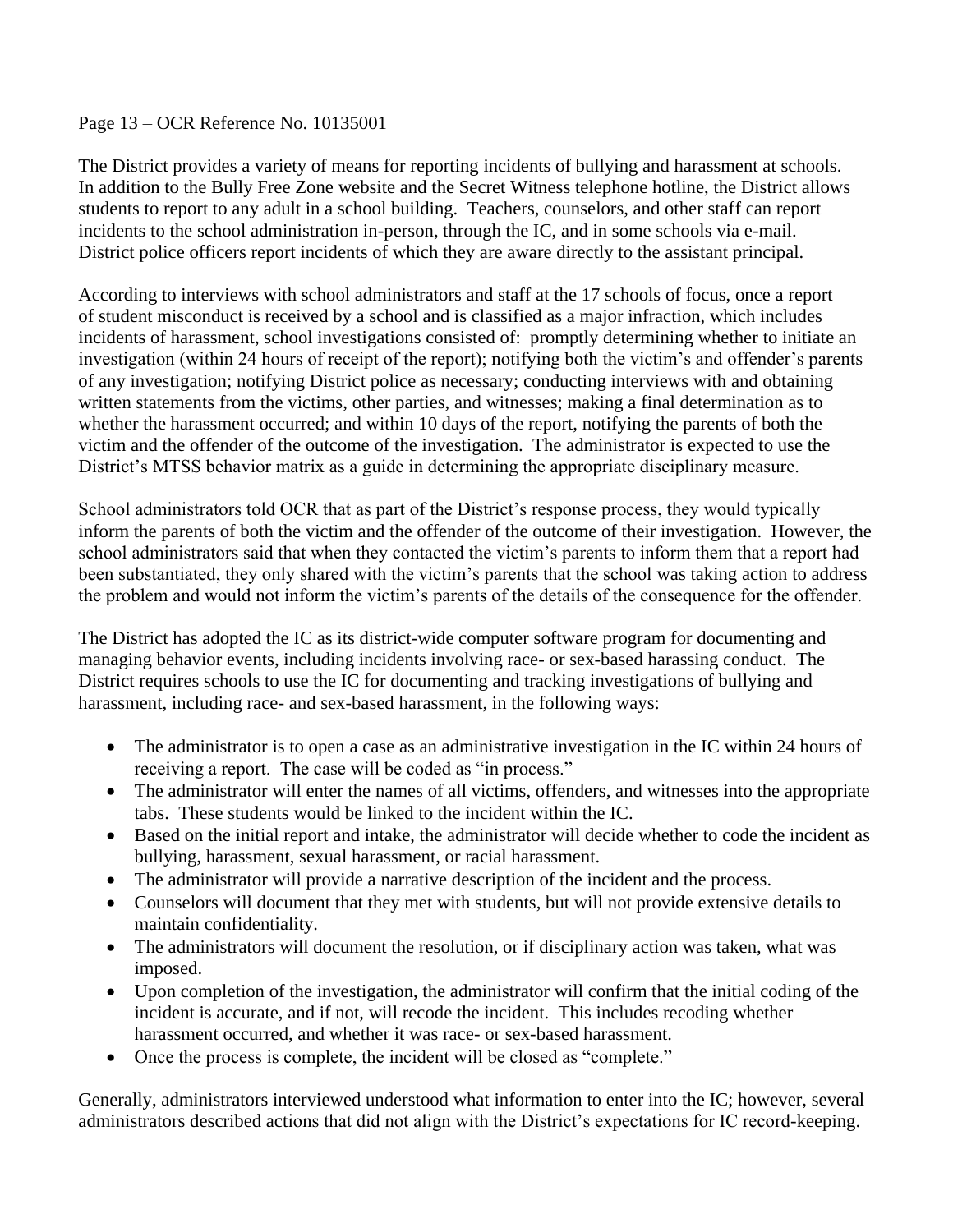#### Page 13 – OCR Reference No. 10135001

The District provides a variety of means for reporting incidents of bullying and harassment at schools. In addition to the Bully Free Zone website and the Secret Witness telephone hotline, the District allows students to report to any adult in a school building. Teachers, counselors, and other staff can report incidents to the school administration in-person, through the IC, and in some schools via e-mail. District police officers report incidents of which they are aware directly to the assistant principal.

According to interviews with school administrators and staff at the 17 schools of focus, once a report of student misconduct is received by a school and is classified as a major infraction, which includes incidents of harassment, school investigations consisted of: promptly determining whether to initiate an investigation (within 24 hours of receipt of the report); notifying both the victim's and offender's parents of any investigation; notifying District police as necessary; conducting interviews with and obtaining written statements from the victims, other parties, and witnesses; making a final determination as to whether the harassment occurred; and within 10 days of the report, notifying the parents of both the victim and the offender of the outcome of the investigation. The administrator is expected to use the District's MTSS behavior matrix as a guide in determining the appropriate disciplinary measure.

School administrators told OCR that as part of the District's response process, they would typically inform the parents of both the victim and the offender of the outcome of their investigation. However, the school administrators said that when they contacted the victim's parents to inform them that a report had been substantiated, they only shared with the victim's parents that the school was taking action to address the problem and would not inform the victim's parents of the details of the consequence for the offender.

The District has adopted the IC as its district-wide computer software program for documenting and managing behavior events, including incidents involving race- or sex-based harassing conduct. The District requires schools to use the IC for documenting and tracking investigations of bullying and harassment, including race- and sex-based harassment, in the following ways:

- The administrator is to open a case as an administrative investigation in the IC within 24 hours of receiving a report. The case will be coded as "in process."
- The administrator will enter the names of all victims, offenders, and witnesses into the appropriate tabs. These students would be linked to the incident within the IC.
- Based on the initial report and intake, the administrator will decide whether to code the incident as bullying, harassment, sexual harassment, or racial harassment.
- The administrator will provide a narrative description of the incident and the process.
- Counselors will document that they met with students, but will not provide extensive details to maintain confidentiality.
- The administrators will document the resolution, or if disciplinary action was taken, what was imposed.
- Upon completion of the investigation, the administrator will confirm that the initial coding of the incident is accurate, and if not, will recode the incident. This includes recoding whether harassment occurred, and whether it was race- or sex-based harassment.
- Once the process is complete, the incident will be closed as "complete."

Generally, administrators interviewed understood what information to enter into the IC; however, several administrators described actions that did not align with the District's expectations for IC record-keeping.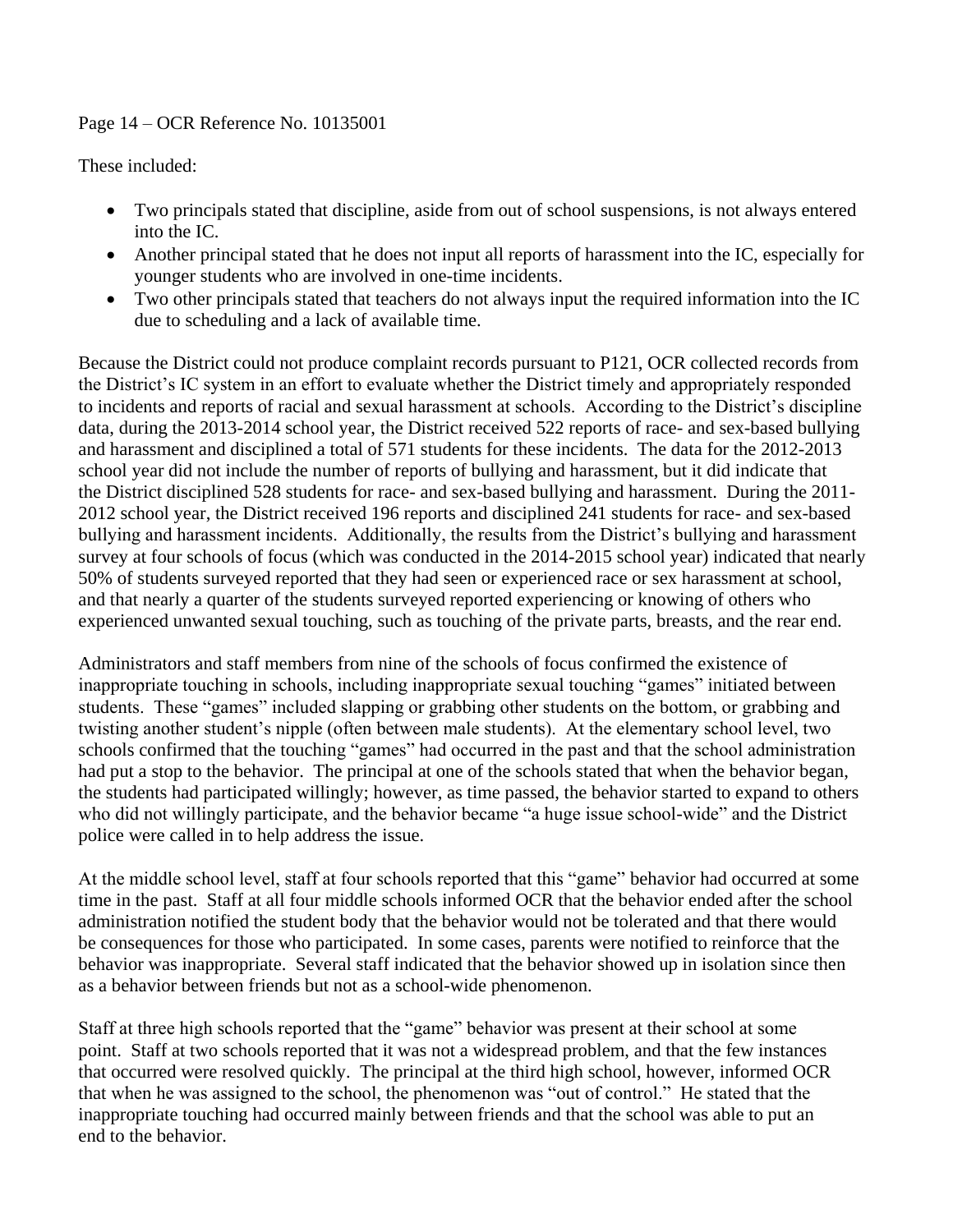#### Page 14 – OCR Reference No. 10135001

These included:

- Two principals stated that discipline, aside from out of school suspensions, is not always entered into the IC.
- Another principal stated that he does not input all reports of harassment into the IC, especially for younger students who are involved in one-time incidents.
- Two other principals stated that teachers do not always input the required information into the IC due to scheduling and a lack of available time.

Because the District could not produce complaint records pursuant to P121, OCR collected records from the District's IC system in an effort to evaluate whether the District timely and appropriately responded to incidents and reports of racial and sexual harassment at schools. According to the District's discipline data, during the 2013-2014 school year, the District received 522 reports of race- and sex-based bullying and harassment and disciplined a total of 571 students for these incidents. The data for the 2012-2013 school year did not include the number of reports of bullying and harassment, but it did indicate that the District disciplined 528 students for race- and sex-based bullying and harassment. During the 2011- 2012 school year, the District received 196 reports and disciplined 241 students for race- and sex-based bullying and harassment incidents. Additionally, the results from the District's bullying and harassment survey at four schools of focus (which was conducted in the 2014-2015 school year) indicated that nearly 50% of students surveyed reported that they had seen or experienced race or sex harassment at school, and that nearly a quarter of the students surveyed reported experiencing or knowing of others who experienced unwanted sexual touching, such as touching of the private parts, breasts, and the rear end.

Administrators and staff members from nine of the schools of focus confirmed the existence of inappropriate touching in schools, including inappropriate sexual touching "games" initiated between students. These "games" included slapping or grabbing other students on the bottom, or grabbing and twisting another student's nipple (often between male students). At the elementary school level, two schools confirmed that the touching "games" had occurred in the past and that the school administration had put a stop to the behavior. The principal at one of the schools stated that when the behavior began, the students had participated willingly; however, as time passed, the behavior started to expand to others who did not willingly participate, and the behavior became "a huge issue school-wide" and the District police were called in to help address the issue.

At the middle school level, staff at four schools reported that this "game" behavior had occurred at some time in the past. Staff at all four middle schools informed OCR that the behavior ended after the school administration notified the student body that the behavior would not be tolerated and that there would be consequences for those who participated. In some cases, parents were notified to reinforce that the behavior was inappropriate. Several staff indicated that the behavior showed up in isolation since then as a behavior between friends but not as a school-wide phenomenon.

Staff at three high schools reported that the "game" behavior was present at their school at some point. Staff at two schools reported that it was not a widespread problem, and that the few instances that occurred were resolved quickly. The principal at the third high school, however, informed OCR that when he was assigned to the school, the phenomenon was "out of control." He stated that the inappropriate touching had occurred mainly between friends and that the school was able to put an end to the behavior.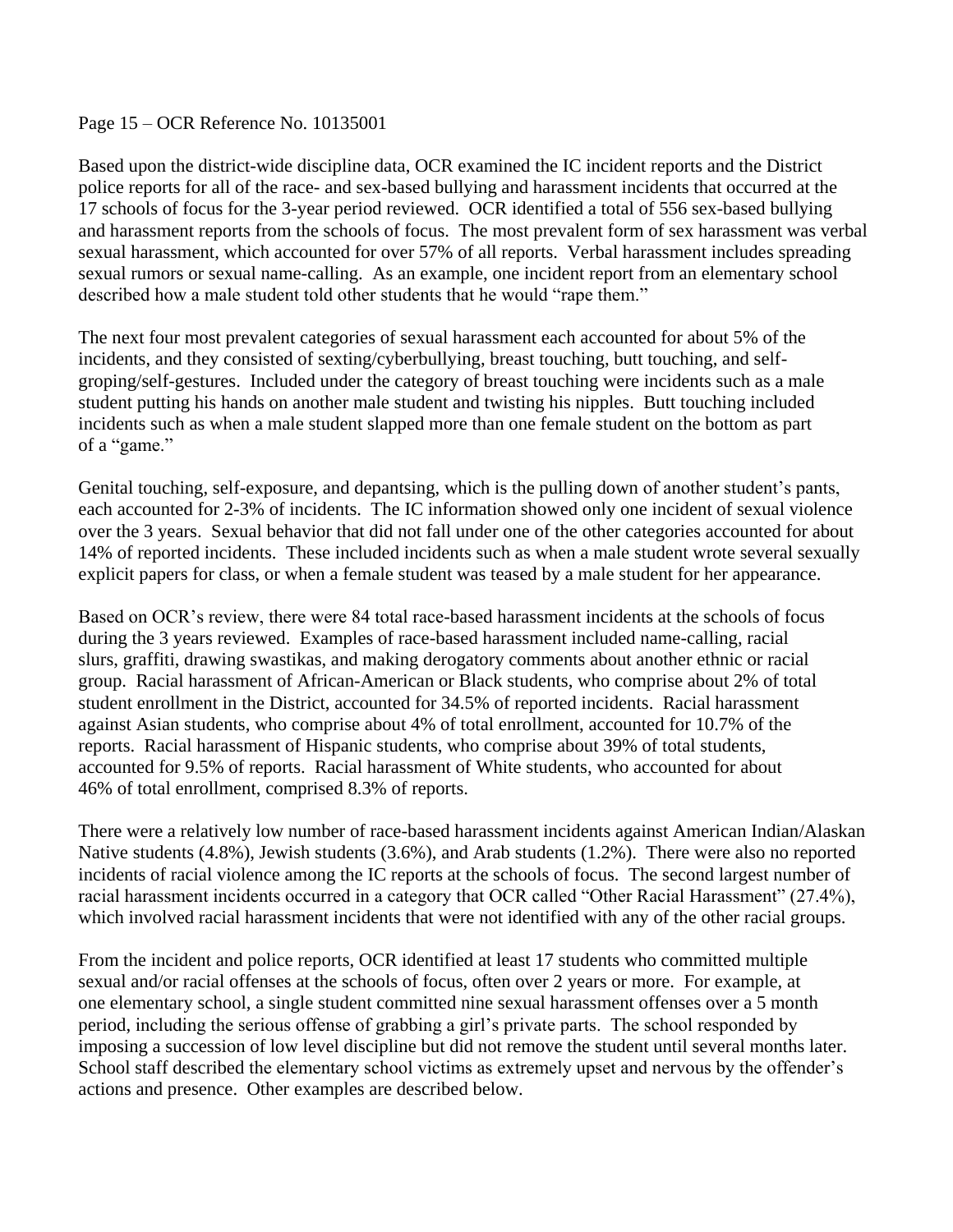#### Page 15 – OCR Reference No. 10135001

Based upon the district-wide discipline data, OCR examined the IC incident reports and the District police reports for all of the race- and sex-based bullying and harassment incidents that occurred at the 17 schools of focus for the 3-year period reviewed. OCR identified a total of 556 sex-based bullying and harassment reports from the schools of focus. The most prevalent form of sex harassment was verbal sexual harassment, which accounted for over 57% of all reports. Verbal harassment includes spreading sexual rumors or sexual name-calling. As an example, one incident report from an elementary school described how a male student told other students that he would "rape them."

The next four most prevalent categories of sexual harassment each accounted for about 5% of the incidents, and they consisted of sexting/cyberbullying, breast touching, butt touching, and selfgroping/self-gestures. Included under the category of breast touching were incidents such as a male student putting his hands on another male student and twisting his nipples. Butt touching included incidents such as when a male student slapped more than one female student on the bottom as part of a "game."

Genital touching, self-exposure, and depantsing, which is the pulling down of another student's pants, each accounted for 2-3% of incidents. The IC information showed only one incident of sexual violence over the 3 years. Sexual behavior that did not fall under one of the other categories accounted for about 14% of reported incidents. These included incidents such as when a male student wrote several sexually explicit papers for class, or when a female student was teased by a male student for her appearance.

Based on OCR's review, there were 84 total race-based harassment incidents at the schools of focus during the 3 years reviewed. Examples of race-based harassment included name-calling, racial slurs, graffiti, drawing swastikas, and making derogatory comments about another ethnic or racial group. Racial harassment of African-American or Black students, who comprise about 2% of total student enrollment in the District, accounted for 34.5% of reported incidents. Racial harassment against Asian students, who comprise about 4% of total enrollment, accounted for 10.7% of the reports. Racial harassment of Hispanic students, who comprise about 39% of total students, accounted for 9.5% of reports. Racial harassment of White students, who accounted for about 46% of total enrollment, comprised 8.3% of reports.

There were a relatively low number of race-based harassment incidents against American Indian/Alaskan Native students (4.8%), Jewish students (3.6%), and Arab students (1.2%). There were also no reported incidents of racial violence among the IC reports at the schools of focus. The second largest number of racial harassment incidents occurred in a category that OCR called "Other Racial Harassment" (27.4%), which involved racial harassment incidents that were not identified with any of the other racial groups.

From the incident and police reports, OCR identified at least 17 students who committed multiple sexual and/or racial offenses at the schools of focus, often over 2 years or more. For example, at one elementary school, a single student committed nine sexual harassment offenses over a 5 month period, including the serious offense of grabbing a girl's private parts. The school responded by imposing a succession of low level discipline but did not remove the student until several months later. School staff described the elementary school victims as extremely upset and nervous by the offender's actions and presence. Other examples are described below.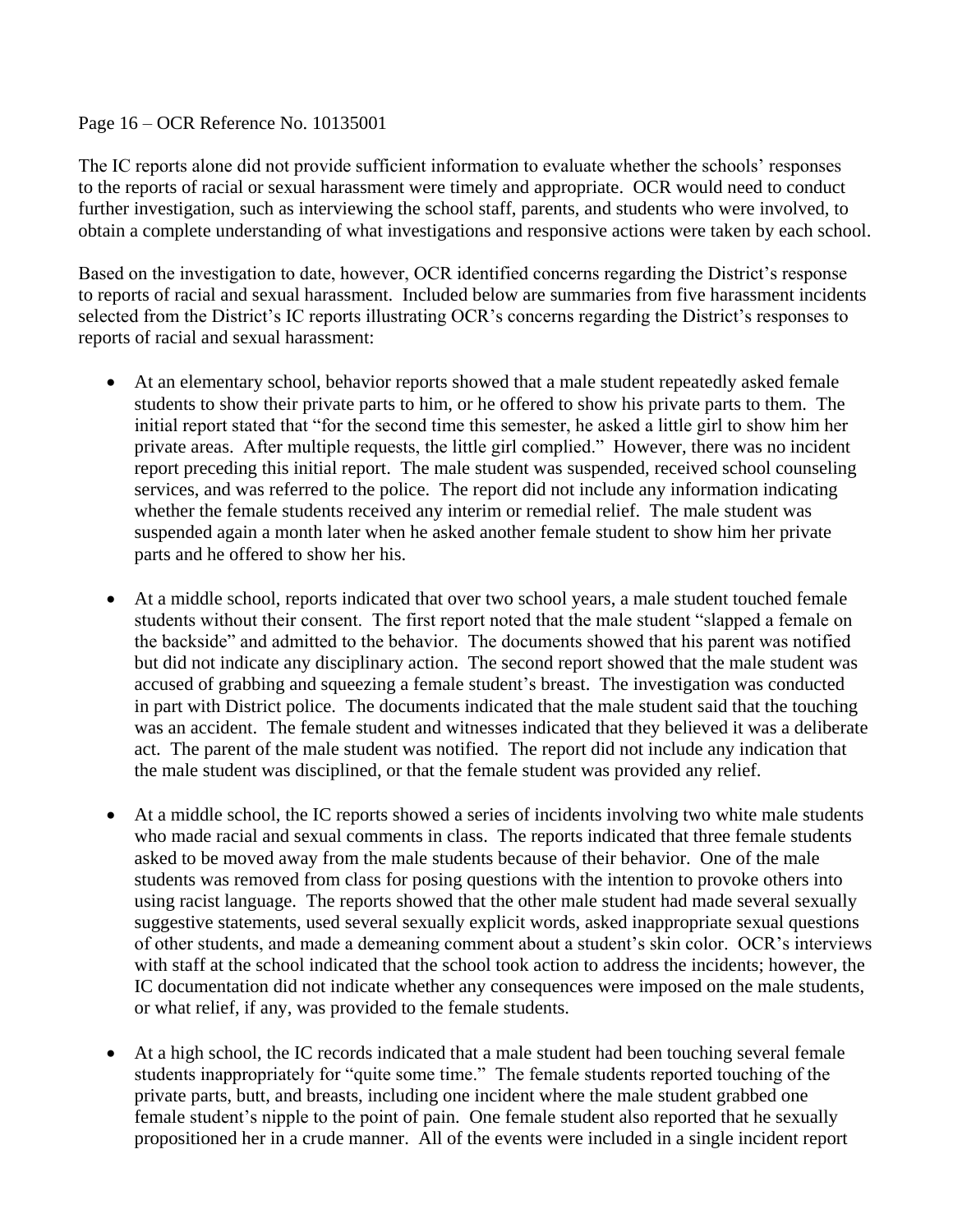#### Page 16 – OCR Reference No. 10135001

The IC reports alone did not provide sufficient information to evaluate whether the schools' responses to the reports of racial or sexual harassment were timely and appropriate. OCR would need to conduct further investigation, such as interviewing the school staff, parents, and students who were involved, to obtain a complete understanding of what investigations and responsive actions were taken by each school.

Based on the investigation to date, however, OCR identified concerns regarding the District's response to reports of racial and sexual harassment. Included below are summaries from five harassment incidents selected from the District's IC reports illustrating OCR's concerns regarding the District's responses to reports of racial and sexual harassment:

- At an elementary school, behavior reports showed that a male student repeatedly asked female students to show their private parts to him, or he offered to show his private parts to them. The initial report stated that "for the second time this semester, he asked a little girl to show him her private areas. After multiple requests, the little girl complied." However, there was no incident report preceding this initial report. The male student was suspended, received school counseling services, and was referred to the police. The report did not include any information indicating whether the female students received any interim or remedial relief. The male student was suspended again a month later when he asked another female student to show him her private parts and he offered to show her his.
- At a middle school, reports indicated that over two school years, a male student touched female students without their consent. The first report noted that the male student "slapped a female on the backside" and admitted to the behavior. The documents showed that his parent was notified but did not indicate any disciplinary action. The second report showed that the male student was accused of grabbing and squeezing a female student's breast. The investigation was conducted in part with District police. The documents indicated that the male student said that the touching was an accident. The female student and witnesses indicated that they believed it was a deliberate act. The parent of the male student was notified. The report did not include any indication that the male student was disciplined, or that the female student was provided any relief.
- At a middle school, the IC reports showed a series of incidents involving two white male students who made racial and sexual comments in class. The reports indicated that three female students asked to be moved away from the male students because of their behavior. One of the male students was removed from class for posing questions with the intention to provoke others into using racist language. The reports showed that the other male student had made several sexually suggestive statements, used several sexually explicit words, asked inappropriate sexual questions of other students, and made a demeaning comment about a student's skin color. OCR's interviews with staff at the school indicated that the school took action to address the incidents; however, the IC documentation did not indicate whether any consequences were imposed on the male students, or what relief, if any, was provided to the female students.
- At a high school, the IC records indicated that a male student had been touching several female students inappropriately for "quite some time." The female students reported touching of the private parts, butt, and breasts, including one incident where the male student grabbed one female student's nipple to the point of pain. One female student also reported that he sexually propositioned her in a crude manner. All of the events were included in a single incident report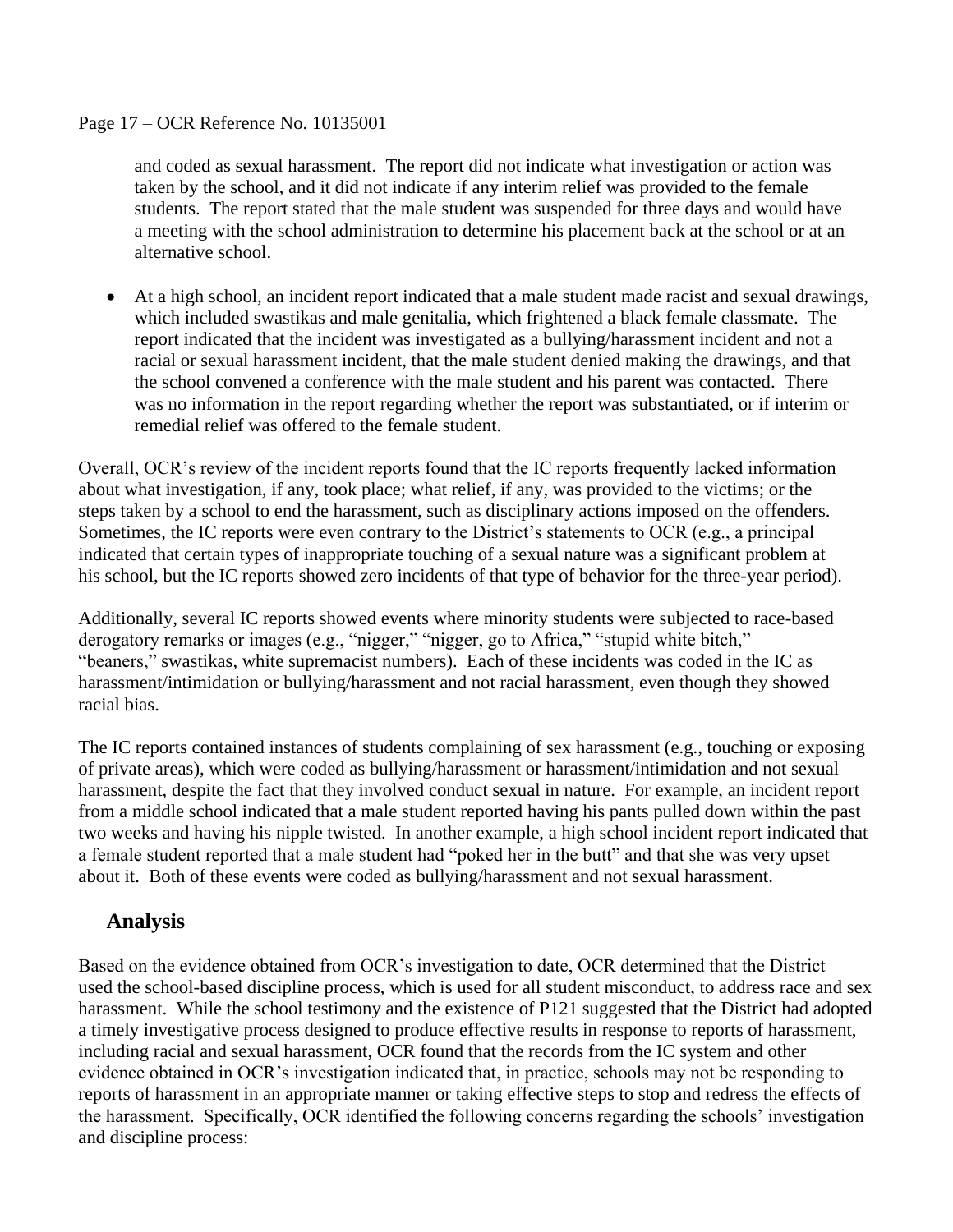#### Page 17 – OCR Reference No. 10135001

and coded as sexual harassment. The report did not indicate what investigation or action was taken by the school, and it did not indicate if any interim relief was provided to the female students. The report stated that the male student was suspended for three days and would have a meeting with the school administration to determine his placement back at the school or at an alternative school.

 At a high school, an incident report indicated that a male student made racist and sexual drawings, which included swastikas and male genitalia, which frightened a black female classmate. The report indicated that the incident was investigated as a bullying/harassment incident and not a racial or sexual harassment incident, that the male student denied making the drawings, and that the school convened a conference with the male student and his parent was contacted. There was no information in the report regarding whether the report was substantiated, or if interim or remedial relief was offered to the female student.

Overall, OCR's review of the incident reports found that the IC reports frequently lacked information about what investigation, if any, took place; what relief, if any, was provided to the victims; or the steps taken by a school to end the harassment, such as disciplinary actions imposed on the offenders. Sometimes, the IC reports were even contrary to the District's statements to OCR (e.g., a principal indicated that certain types of inappropriate touching of a sexual nature was a significant problem at his school, but the IC reports showed zero incidents of that type of behavior for the three-year period).

Additionally, several IC reports showed events where minority students were subjected to race-based derogatory remarks or images (e.g., "nigger," "nigger, go to Africa," "stupid white bitch," "beaners," swastikas, white supremacist numbers). Each of these incidents was coded in the IC as harassment/intimidation or bullying/harassment and not racial harassment, even though they showed racial bias.

The IC reports contained instances of students complaining of sex harassment (e.g., touching or exposing of private areas), which were coded as bullying/harassment or harassment/intimidation and not sexual harassment, despite the fact that they involved conduct sexual in nature. For example, an incident report from a middle school indicated that a male student reported having his pants pulled down within the past two weeks and having his nipple twisted. In another example, a high school incident report indicated that a female student reported that a male student had "poked her in the butt" and that she was very upset about it. Both of these events were coded as bullying/harassment and not sexual harassment.

### **Analysis**

Based on the evidence obtained from OCR's investigation to date, OCR determined that the District used the school-based discipline process, which is used for all student misconduct, to address race and sex harassment. While the school testimony and the existence of P121 suggested that the District had adopted a timely investigative process designed to produce effective results in response to reports of harassment, including racial and sexual harassment, OCR found that the records from the IC system and other evidence obtained in OCR's investigation indicated that, in practice, schools may not be responding to reports of harassment in an appropriate manner or taking effective steps to stop and redress the effects of the harassment. Specifically, OCR identified the following concerns regarding the schools' investigation and discipline process: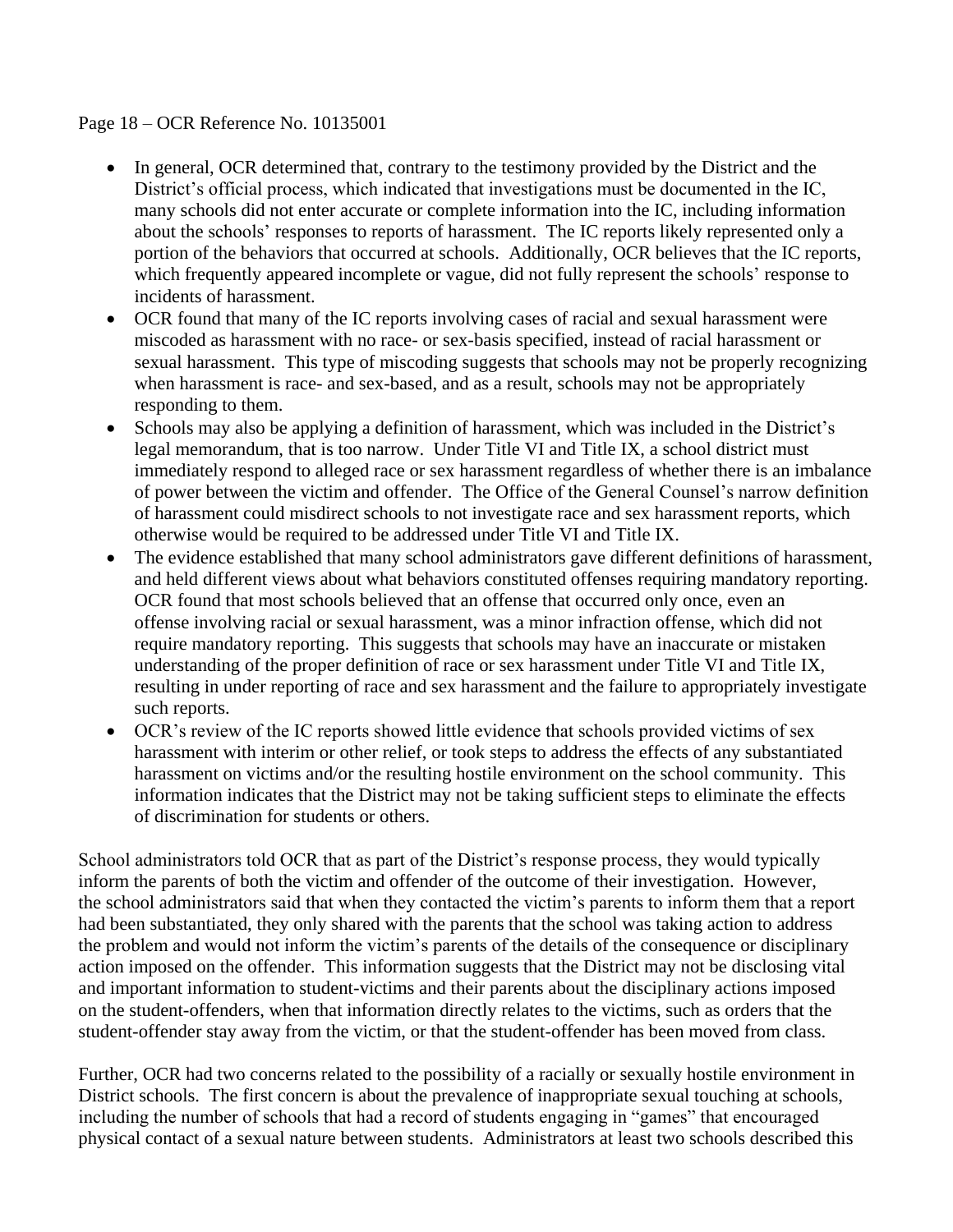#### Page 18 – OCR Reference No. 10135001

- In general, OCR determined that, contrary to the testimony provided by the District and the District's official process, which indicated that investigations must be documented in the IC, many schools did not enter accurate or complete information into the IC, including information about the schools' responses to reports of harassment. The IC reports likely represented only a portion of the behaviors that occurred at schools. Additionally, OCR believes that the IC reports, which frequently appeared incomplete or vague, did not fully represent the schools' response to incidents of harassment.
- OCR found that many of the IC reports involving cases of racial and sexual harassment were miscoded as harassment with no race- or sex-basis specified, instead of racial harassment or sexual harassment. This type of miscoding suggests that schools may not be properly recognizing when harassment is race- and sex-based, and as a result, schools may not be appropriately responding to them.
- Schools may also be applying a definition of harassment, which was included in the District's legal memorandum, that is too narrow. Under Title VI and Title IX, a school district must immediately respond to alleged race or sex harassment regardless of whether there is an imbalance of power between the victim and offender. The Office of the General Counsel's narrow definition of harassment could misdirect schools to not investigate race and sex harassment reports, which otherwise would be required to be addressed under Title VI and Title IX.
- The evidence established that many school administrators gave different definitions of harassment, and held different views about what behaviors constituted offenses requiring mandatory reporting. OCR found that most schools believed that an offense that occurred only once, even an offense involving racial or sexual harassment, was a minor infraction offense, which did not require mandatory reporting. This suggests that schools may have an inaccurate or mistaken understanding of the proper definition of race or sex harassment under Title VI and Title IX, resulting in under reporting of race and sex harassment and the failure to appropriately investigate such reports.
- OCR's review of the IC reports showed little evidence that schools provided victims of sex harassment with interim or other relief, or took steps to address the effects of any substantiated harassment on victims and/or the resulting hostile environment on the school community. This information indicates that the District may not be taking sufficient steps to eliminate the effects of discrimination for students or others.

School administrators told OCR that as part of the District's response process, they would typically inform the parents of both the victim and offender of the outcome of their investigation. However, the school administrators said that when they contacted the victim's parents to inform them that a report had been substantiated, they only shared with the parents that the school was taking action to address the problem and would not inform the victim's parents of the details of the consequence or disciplinary action imposed on the offender. This information suggests that the District may not be disclosing vital and important information to student-victims and their parents about the disciplinary actions imposed on the student-offenders, when that information directly relates to the victims, such as orders that the student-offender stay away from the victim, or that the student-offender has been moved from class.

Further, OCR had two concerns related to the possibility of a racially or sexually hostile environment in District schools. The first concern is about the prevalence of inappropriate sexual touching at schools, including the number of schools that had a record of students engaging in "games" that encouraged physical contact of a sexual nature between students. Administrators at least two schools described this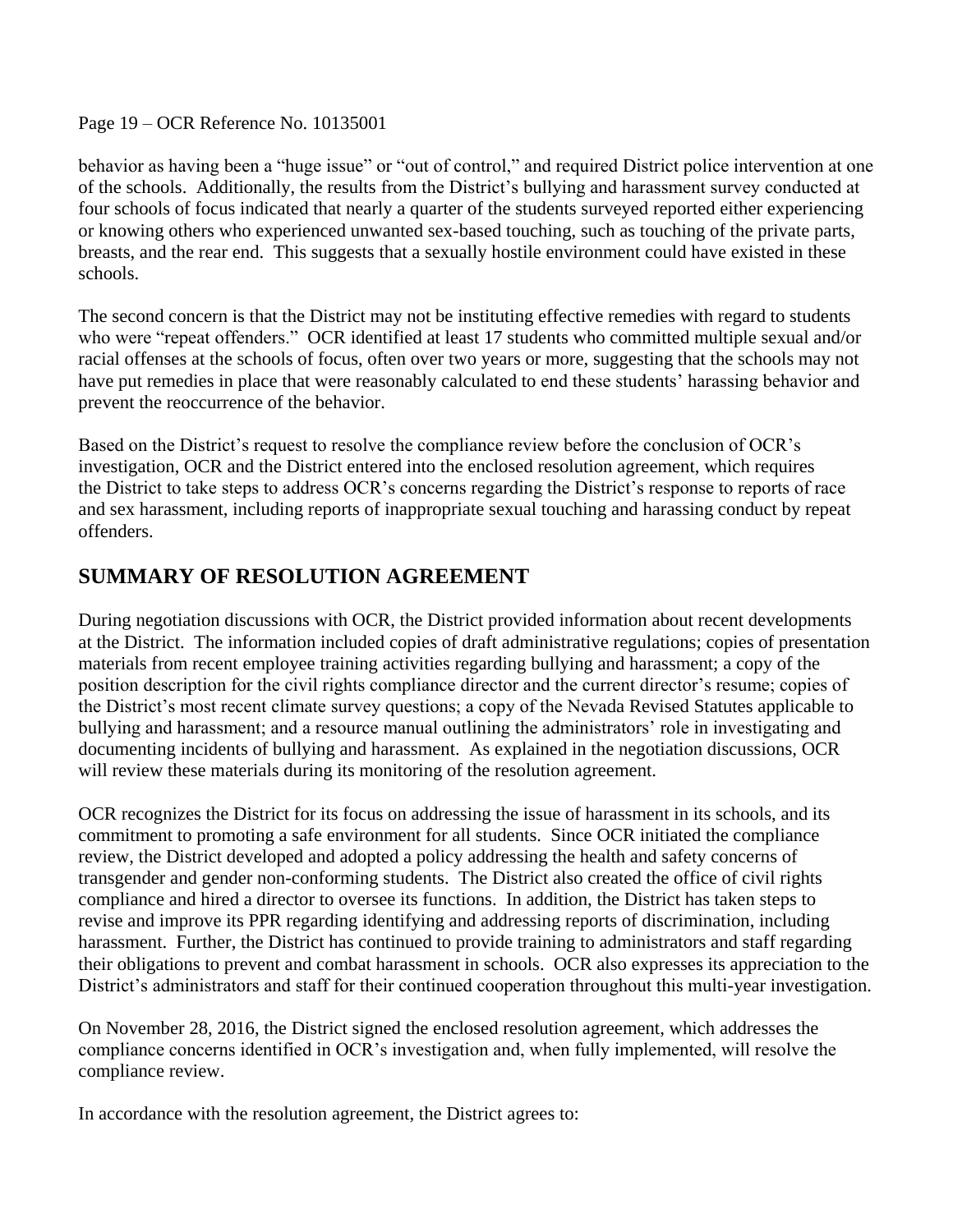Page 19 – OCR Reference No. 10135001

behavior as having been a "huge issue" or "out of control," and required District police intervention at one of the schools. Additionally, the results from the District's bullying and harassment survey conducted at four schools of focus indicated that nearly a quarter of the students surveyed reported either experiencing or knowing others who experienced unwanted sex-based touching, such as touching of the private parts, breasts, and the rear end. This suggests that a sexually hostile environment could have existed in these schools.

The second concern is that the District may not be instituting effective remedies with regard to students who were "repeat offenders." OCR identified at least 17 students who committed multiple sexual and/or racial offenses at the schools of focus, often over two years or more, suggesting that the schools may not have put remedies in place that were reasonably calculated to end these students' harassing behavior and prevent the reoccurrence of the behavior.

Based on the District's request to resolve the compliance review before the conclusion of OCR's investigation, OCR and the District entered into the enclosed resolution agreement, which requires the District to take steps to address OCR's concerns regarding the District's response to reports of race and sex harassment, including reports of inappropriate sexual touching and harassing conduct by repeat offenders.

# **SUMMARY OF RESOLUTION AGREEMENT**

During negotiation discussions with OCR, the District provided information about recent developments at the District. The information included copies of draft administrative regulations; copies of presentation materials from recent employee training activities regarding bullying and harassment; a copy of the position description for the civil rights compliance director and the current director's resume; copies of the District's most recent climate survey questions; a copy of the Nevada Revised Statutes applicable to bullying and harassment; and a resource manual outlining the administrators' role in investigating and documenting incidents of bullying and harassment. As explained in the negotiation discussions, OCR will review these materials during its monitoring of the resolution agreement.

OCR recognizes the District for its focus on addressing the issue of harassment in its schools, and its commitment to promoting a safe environment for all students. Since OCR initiated the compliance review, the District developed and adopted a policy addressing the health and safety concerns of transgender and gender non-conforming students. The District also created the office of civil rights compliance and hired a director to oversee its functions. In addition, the District has taken steps to revise and improve its PPR regarding identifying and addressing reports of discrimination, including harassment. Further, the District has continued to provide training to administrators and staff regarding their obligations to prevent and combat harassment in schools. OCR also expresses its appreciation to the District's administrators and staff for their continued cooperation throughout this multi-year investigation.

On November 28, 2016, the District signed the enclosed resolution agreement, which addresses the compliance concerns identified in OCR's investigation and, when fully implemented, will resolve the compliance review.

In accordance with the resolution agreement, the District agrees to: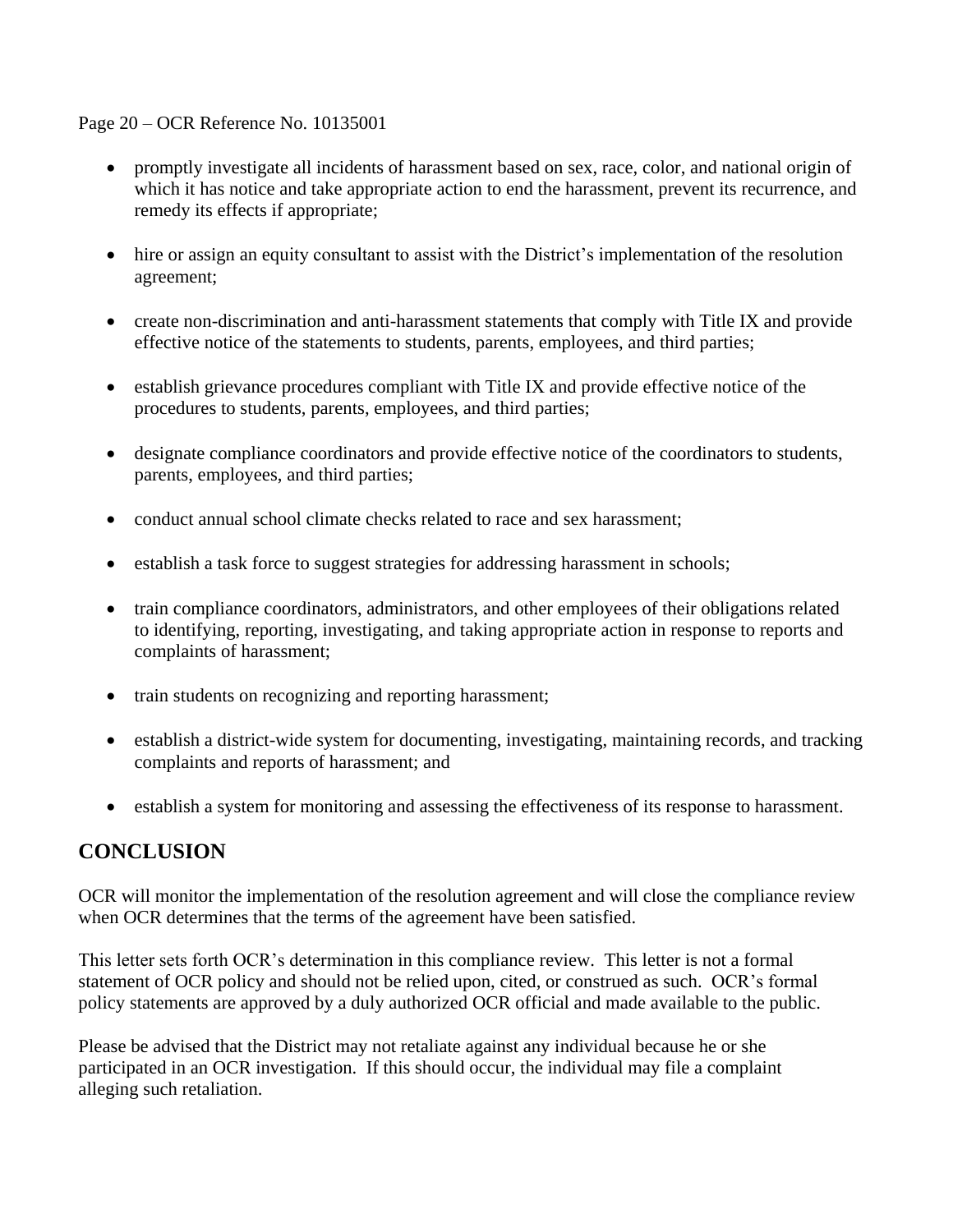Page 20 – OCR Reference No. 10135001

- promptly investigate all incidents of harassment based on sex, race, color, and national origin of which it has notice and take appropriate action to end the harassment, prevent its recurrence, and remedy its effects if appropriate;
- hire or assign an equity consultant to assist with the District's implementation of the resolution agreement;
- create non-discrimination and anti-harassment statements that comply with Title IX and provide effective notice of the statements to students, parents, employees, and third parties;
- establish grievance procedures compliant with Title IX and provide effective notice of the procedures to students, parents, employees, and third parties;
- designate compliance coordinators and provide effective notice of the coordinators to students, parents, employees, and third parties;
- conduct annual school climate checks related to race and sex harassment;
- establish a task force to suggest strategies for addressing harassment in schools;
- train compliance coordinators, administrators, and other employees of their obligations related to identifying, reporting, investigating, and taking appropriate action in response to reports and complaints of harassment;
- train students on recognizing and reporting harassment;
- establish a district-wide system for documenting, investigating, maintaining records, and tracking complaints and reports of harassment; and
- establish a system for monitoring and assessing the effectiveness of its response to harassment.

### **CONCLUSION**

OCR will monitor the implementation of the resolution agreement and will close the compliance review when OCR determines that the terms of the agreement have been satisfied.

This letter sets forth OCR's determination in this compliance review. This letter is not a formal statement of OCR policy and should not be relied upon, cited, or construed as such. OCR's formal policy statements are approved by a duly authorized OCR official and made available to the public.

Please be advised that the District may not retaliate against any individual because he or she participated in an OCR investigation. If this should occur, the individual may file a complaint alleging such retaliation.